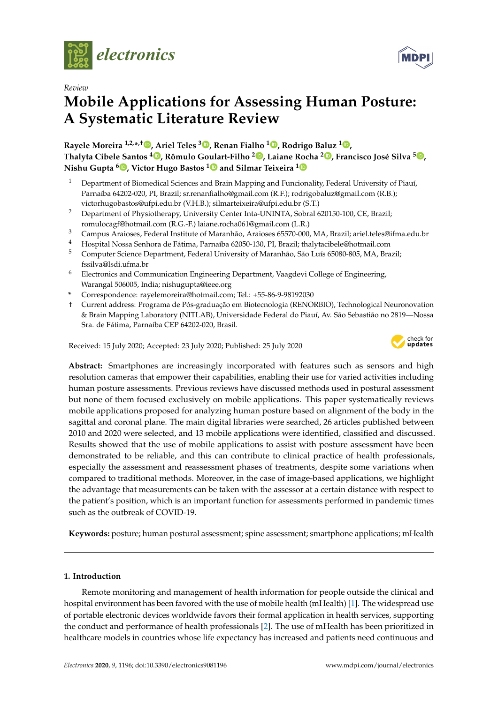

*Review*

# **Mobile Applications for Assessing Human Posture: A Systematic Literature Review**

**Rayele Moreira 1,2,\* ,† [,](https://orcid.org/0000-0002-4480-732X) Ariel Teles <sup>3</sup> [,](https://orcid.org/0000-0002-0840-3870) Renan Fialho <sup>1</sup> [,](https://orcid.org/0000-0001-6185-0613) Rodrigo Baluz [1](https://orcid.org/0000-0003-4745-1442) , Thalyta Cibele Santos <sup>4</sup> [,](https://orcid.org/0000-0002-6987-2857) Rômulo Goulart-Filho <sup>2</sup> [,](https://orcid.org/0000-0002-0198-3227) Laiane Rocha <sup>2</sup> [,](https://orcid.org/0000-0002-2076-218X) Francisco José Silva <sup>5</sup> [,](https://orcid.org/0000-0001-8339-3679) Nishu Gupta <sup>6</sup> [,](https://orcid.org/0000-0002-1568-368X) Victor Hugo Bastos [1](https://orcid.org/0000-0001-7425-4730) and Silmar Teixeira [1](https://orcid.org/0000-0002-9240-1228)**

- <sup>1</sup> Department of Biomedical Sciences and Brain Mapping and Funcionality, Federal University of Piauí, Parnaíba 64202-020, PI, Brazil; sr.renanfialho@gmail.com (R.F.); rodrigobaluz@gmail.com (R.B.); victorhugobastos@ufpi.edu.br (V.H.B.); silmarteixeira@ufpi.edu.br (S.T.)
- <sup>2</sup> Department of Physiotherapy, University Center Inta-UNINTA, Sobral 620150-100, CE, Brazil; romulocagf@hotmail.com (R.G.-F.) laiane.rocha061@gmail.com (L.R.)
- <sup>3</sup> Campus Araioses, Federal Institute of Maranhão, Araioses 65570-000, MA, Brazil; ariel.teles@ifma.edu.br
- <sup>4</sup> Hospital Nossa Senhora de Fátima, Parnaíba 62050-130, PI, Brazil; thalytacibele@hotmail.com
- <sup>5</sup> Computer Science Department, Federal University of Maranhão, São Luís 65080-805, MA, Brazil; fssilva@lsdi.ufma.br
- <sup>6</sup> Electronics and Communication Engineering Department, Vaagdevi College of Engineering, Warangal 506005, India; nishugupta@ieee.org
- **\*** Correspondence: rayelemoreira@hotmail.com; Tel.: +55-86-9-98192030
- † Current address: Programa de Pós-graduação em Biotecnologia (RENORBIO), Technological Neuronovation & Brain Mapping Laboratory (NITLAB), Universidade Federal do Piauí, Av. São Sebastião no 2819—Nossa Sra. de Fátima, Parnaíba CEP 64202-020, Brasil.

Received: 15 July 2020; Accepted: 23 July 2020; Published: 25 July 2020



**MDP** 

**Abstract:** Smartphones are increasingly incorporated with features such as sensors and high resolution cameras that empower their capabilities, enabling their use for varied activities including human posture assessments. Previous reviews have discussed methods used in postural assessment but none of them focused exclusively on mobile applications. This paper systematically reviews mobile applications proposed for analyzing human posture based on alignment of the body in the sagittal and coronal plane. The main digital libraries were searched, 26 articles published between 2010 and 2020 were selected, and 13 mobile applications were identified, classified and discussed. Results showed that the use of mobile applications to assist with posture assessment have been demonstrated to be reliable, and this can contribute to clinical practice of health professionals, especially the assessment and reassessment phases of treatments, despite some variations when compared to traditional methods. Moreover, in the case of image-based applications, we highlight the advantage that measurements can be taken with the assessor at a certain distance with respect to the patient's position, which is an important function for assessments performed in pandemic times such as the outbreak of COVID-19.

**Keywords:** posture; human postural assessment; spine assessment; smartphone applications; mHealth

# **1. Introduction**

Remote monitoring and management of health information for people outside the clinical and hospital environment has been favored with the use of mobile health (mHealth) [\[1\]](#page-19-0). The widespread use of portable electronic devices worldwide favors their formal application in health services, supporting the conduct and performance of health professionals [\[2\]](#page-19-1). The use of mHealth has been prioritized in healthcare models in countries whose life expectancy has increased and patients need continuous and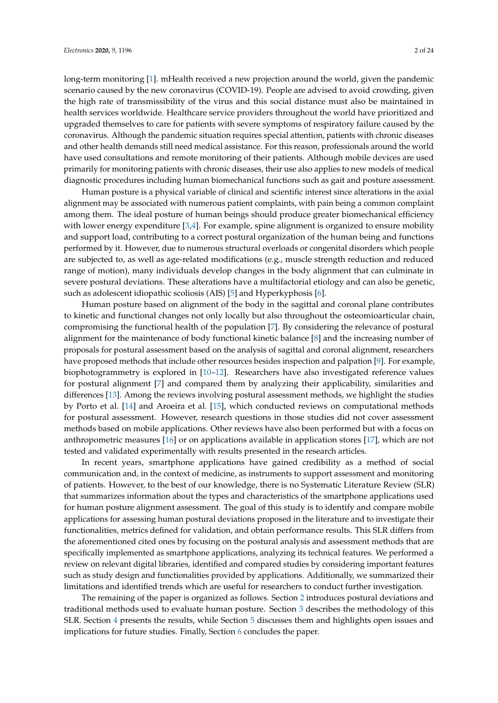long-term monitoring [\[1\]](#page-19-0). mHealth received a new projection around the world, given the pandemic scenario caused by the new coronavirus (COVID-19). People are advised to avoid crowding, given the high rate of transmissibility of the virus and this social distance must also be maintained in health services worldwide. Healthcare service providers throughout the world have prioritized and upgraded themselves to care for patients with severe symptoms of respiratory failure caused by the coronavirus. Although the pandemic situation requires special attention, patients with chronic diseases and other health demands still need medical assistance. For this reason, professionals around the world have used consultations and remote monitoring of their patients. Although mobile devices are used primarily for monitoring patients with chronic diseases, their use also applies to new models of medical diagnostic procedures including human biomechanical functions such as gait and posture assessment.

Human posture is a physical variable of clinical and scientific interest since alterations in the axial alignment may be associated with numerous patient complaints, with pain being a common complaint among them. The ideal posture of human beings should produce greater biomechanical efficiency with lower energy expenditure [\[3,](#page-19-2)[4\]](#page-19-3). For example, spine alignment is organized to ensure mobility and support load, contributing to a correct postural organization of the human being and functions performed by it. However, due to numerous structural overloads or congenital disorders which people are subjected to, as well as age-related modifications (e.g., muscle strength reduction and reduced range of motion), many individuals develop changes in the body alignment that can culminate in severe postural deviations. These alterations have a multifactorial etiology and can also be genetic, such as adolescent idiopathic scoliosis (AIS) [\[5\]](#page-19-4) and Hyperkyphosis [\[6\]](#page-19-5).

Human posture based on alignment of the body in the sagittal and coronal plane contributes to kinetic and functional changes not only locally but also throughout the osteomioarticular chain, compromising the functional health of the population [\[7\]](#page-19-6). By considering the relevance of postural alignment for the maintenance of body functional kinetic balance [\[8\]](#page-19-7) and the increasing number of proposals for postural assessment based on the analysis of sagittal and coronal alignment, researchers have proposed methods that include other resources besides inspection and palpation [\[9\]](#page-19-8). For example, biophotogrammetry is explored in [\[10–](#page-19-9)[12\]](#page-19-10). Researchers have also investigated reference values for postural alignment [\[7\]](#page-19-6) and compared them by analyzing their applicability, similarities and differences [\[13\]](#page-19-11). Among the reviews involving postural assessment methods, we highlight the studies by Porto et al. [\[14\]](#page-19-12) and Aroeira et al. [\[15\]](#page-19-13), which conducted reviews on computational methods for postural assessment. However, research questions in those studies did not cover assessment methods based on mobile applications. Other reviews have also been performed but with a focus on anthropometric measures [\[16\]](#page-19-14) or on applications available in application stores [\[17\]](#page-20-0), which are not tested and validated experimentally with results presented in the research articles.

In recent years, smartphone applications have gained credibility as a method of social communication and, in the context of medicine, as instruments to support assessment and monitoring of patients. However, to the best of our knowledge, there is no Systematic Literature Review (SLR) that summarizes information about the types and characteristics of the smartphone applications used for human posture alignment assessment. The goal of this study is to identify and compare mobile applications for assessing human postural deviations proposed in the literature and to investigate their functionalities, metrics defined for validation, and obtain performance results. This SLR differs from the aforementioned cited ones by focusing on the postural analysis and assessment methods that are specifically implemented as smartphone applications, analyzing its technical features. We performed a review on relevant digital libraries, identified and compared studies by considering important features such as study design and functionalities provided by applications. Additionally, we summarized their limitations and identified trends which are useful for researchers to conduct further investigation.

The remaining of the paper is organized as follows. Section [2](#page-2-0) introduces postural deviations and traditional methods used to evaluate human posture. Section [3](#page-5-0) describes the methodology of this SLR. Section [4](#page-7-0) presents the results, while Section [5](#page-13-0) discusses them and highlights open issues and implications for future studies. Finally, Section [6](#page-17-0) concludes the paper.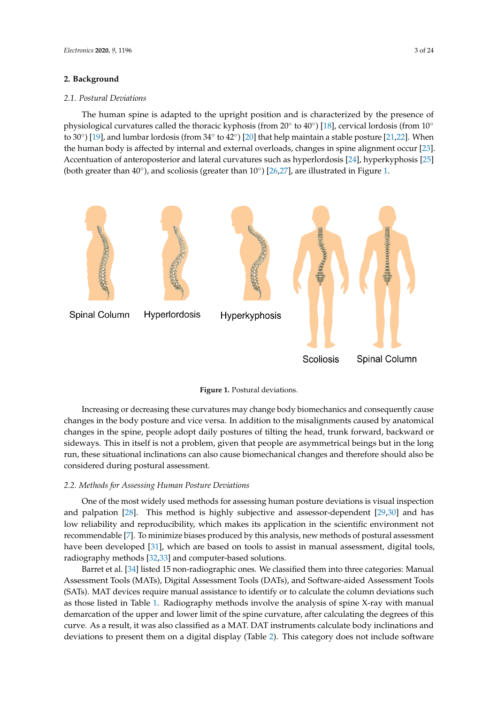# <span id="page-2-0"></span>**2. Background**

#### *2.1. Postural Deviations*

The human spine is adapted to the upright position and is characterized by the presence of physiological curvatures called the thoracic kyphosis (from 20 $^{\circ}$  to 40 $^{\circ}$ ) [\[18\]](#page-20-1), cervical lordosis (from 10 $^{\circ}$ to 30°) [\[19\]](#page-20-2), and lumbar lordosis (from 34° to 42°) [\[20\]](#page-20-3) that help maintain a stable posture [\[21](#page-20-4)[,22\]](#page-20-5). When the human body is affected by internal and external overloads, changes in spine alignment occur [\[23\]](#page-20-6). Accentuation of anteroposterior and lateral curvatures such as hyperlordosis [\[24\]](#page-20-7), hyperkyphosis [\[25\]](#page-20-8) (both greater than  $40^{\circ}$ ), and scoliosis (greater than  $10^{\circ}$ ) [\[26,](#page-20-9)[27\]](#page-20-10), are illustrated in Figure [1.](#page-2-1)

<span id="page-2-1"></span>



Increasing or decreasing these curvatures may change body biomechanics and consequently cause changes in the body posture and vice versa. In addition to the misalignments caused by anatomical changes in the spine, people adopt daily postures of tilting the head, trunk forward, backward or sideways. This in itself is not a problem, given that people are asymmetrical beings but in the long run, these situational inclinations can also cause biomechanical changes and therefore should also be considered during postural assessment.

#### *2.2. Methods for Assessing Human Posture Deviations*

One of the most widely used methods for assessing human posture deviations is visual inspection and palpation [\[28\]](#page-20-11). This method is highly subjective and assessor-dependent [\[29,](#page-20-12)[30\]](#page-20-13) and has low reliability and reproducibility, which makes its application in the scientific environment not recommendable [\[7\]](#page-19-6). To minimize biases produced by this analysis, new methods of postural assessment have been developed [\[31\]](#page-20-14), which are based on tools to assist in manual assessment, digital tools, radiography methods [\[32](#page-20-15)[,33\]](#page-20-16) and computer-based solutions.

Barret et al. [\[34\]](#page-20-17) listed 15 non-radiographic ones. We classified them into three categories: Manual Assessment Tools (MATs), Digital Assessment Tools (DATs), and Software-aided Assessment Tools (SATs). MAT devices require manual assistance to identify or to calculate the column deviations such as those listed in Table [1.](#page-3-0) Radiography methods involve the analysis of spine X-ray with manual demarcation of the upper and lower limit of the spine curvature, after calculating the degrees of this curve. As a result, it was also classified as a MAT. DAT instruments calculate body inclinations and deviations to present them on a digital display (Table [2\)](#page-3-1). This category does not include software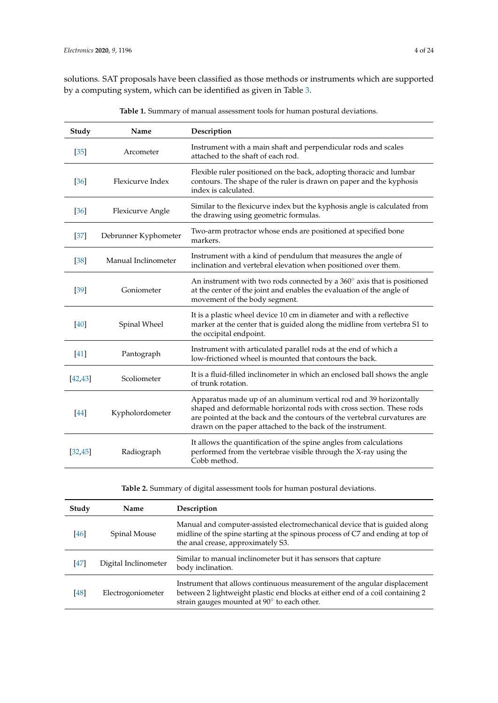solutions. SAT proposals have been classified as those methods or instruments which are supported by a computing system, which can be identified as given in Table [3.](#page-4-0)

<span id="page-3-0"></span>

| Study             | Name                    | Description                                                                                                                                                                                                                                                                         |
|-------------------|-------------------------|-------------------------------------------------------------------------------------------------------------------------------------------------------------------------------------------------------------------------------------------------------------------------------------|
| $\left[35\right]$ | Arcometer               | Instrument with a main shaft and perpendicular rods and scales<br>attached to the shaft of each rod.                                                                                                                                                                                |
| [36]              | Flexicurve Index        | Flexible ruler positioned on the back, adopting thoracic and lumbar<br>contours. The shape of the ruler is drawn on paper and the kyphosis<br>index is calculated.                                                                                                                  |
| $[36]$            | <b>Flexicurve Angle</b> | Similar to the flexicurve index but the kyphosis angle is calculated from<br>the drawing using geometric formulas.                                                                                                                                                                  |
| $[37]$            | Debrunner Kyphometer    | Two-arm protractor whose ends are positioned at specified bone<br>markers.                                                                                                                                                                                                          |
| $[38]$            | Manual Inclinometer     | Instrument with a kind of pendulum that measures the angle of<br>inclination and vertebral elevation when positioned over them.                                                                                                                                                     |
| $[39]$            | Goniometer              | An instrument with two rods connected by a $360^{\circ}$ axis that is positioned<br>at the center of the joint and enables the evaluation of the angle of<br>movement of the body segment.                                                                                          |
| [40]              | Spinal Wheel            | It is a plastic wheel device 10 cm in diameter and with a reflective<br>marker at the center that is guided along the midline from vertebra S1 to<br>the occipital endpoint.                                                                                                        |
| $[41]$            | Pantograph              | Instrument with articulated parallel rods at the end of which a<br>low-frictioned wheel is mounted that contours the back.                                                                                                                                                          |
| [42, 43]          | Scoliometer             | It is a fluid-filled inclinometer in which an enclosed ball shows the angle<br>of trunk rotation.                                                                                                                                                                                   |
| [44]              | Kypholordometer         | Apparatus made up of an aluminum vertical rod and 39 horizontally<br>shaped and deformable horizontal rods with cross section. These rods<br>are pointed at the back and the contours of the vertebral curvatures are<br>drawn on the paper attached to the back of the instrument. |
| [32, 45]          | Radiograph              | It allows the quantification of the spine angles from calculations<br>performed from the vertebrae visible through the X-ray using the<br>Cobb method.                                                                                                                              |

**Table 1.** Summary of manual assessment tools for human postural deviations.

**Table 2.** Summary of digital assessment tools for human postural deviations.

<span id="page-3-1"></span>

| Study | Name                 | Description                                                                                                                                                                                               |
|-------|----------------------|-----------------------------------------------------------------------------------------------------------------------------------------------------------------------------------------------------------|
| [46]  | Spinal Mouse         | Manual and computer-assisted electromechanical device that is guided along<br>midline of the spine starting at the spinous process of C7 and ending at top of<br>the anal crease, approximately S3.       |
| [47   | Digital Inclinometer | Similar to manual inclinometer but it has sensors that capture<br>body inclination.                                                                                                                       |
| [48]  | Electrogoniometer    | Instrument that allows continuous measurement of the angular displacement<br>between 2 lightweight plastic end blocks at either end of a coil containing 2<br>strain gauges mounted at 90° to each other. |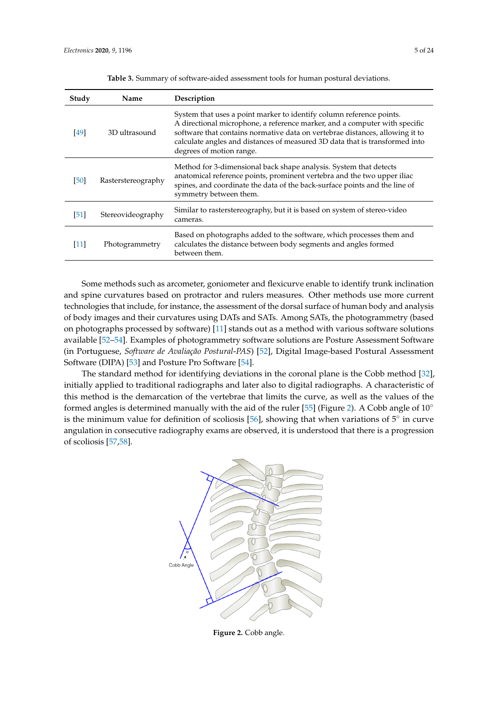<span id="page-4-0"></span>

| Study | <b>Name</b>        | Description                                                                                                                                                                                                                                                                                                                                   |
|-------|--------------------|-----------------------------------------------------------------------------------------------------------------------------------------------------------------------------------------------------------------------------------------------------------------------------------------------------------------------------------------------|
| [49]  | 3D ultrasound      | System that uses a point marker to identify column reference points.<br>A directional microphone, a reference marker, and a computer with specific<br>software that contains normative data on vertebrae distances, allowing it to<br>calculate angles and distances of measured 3D data that is transformed into<br>degrees of motion range. |
| [50]  | Rasterstereography | Method for 3-dimensional back shape analysis. System that detects<br>anatomical reference points, prominent vertebra and the two upper iliac<br>spines, and coordinate the data of the back-surface points and the line of<br>symmetry between them.                                                                                          |
| [51]  | Stereovideography  | Similar to rasterstereography, but it is based on system of stereo-video<br>cameras.                                                                                                                                                                                                                                                          |
| [11]  | Photogrammetry     | Based on photographs added to the software, which processes them and<br>calculates the distance between body segments and angles formed<br>between them.                                                                                                                                                                                      |

**Table 3.** Summary of software-aided assessment tools for human postural deviations.

Some methods such as arcometer, goniometer and flexicurve enable to identify trunk inclination and spine curvatures based on protractor and rulers measures. Other methods use more current technologies that include, for instance, the assessment of the dorsal surface of human body and analysis of body images and their curvatures using DATs and SATs. Among SATs, the photogrammetry (based on photographs processed by software) [\[11\]](#page-19-15) stands out as a method with various software solutions available [\[52–](#page-21-12)[54\]](#page-21-13). Examples of photogrammetry software solutions are Posture Assessment Software (in Portuguese, *Software de Avaliação Postural*-*PAS*) [\[52\]](#page-21-12), Digital Image-based Postural Assessment Software (DIPA) [\[53\]](#page-21-14) and Posture Pro Software [\[54\]](#page-21-13).

<span id="page-4-1"></span>The standard method for identifying deviations in the coronal plane is the Cobb method [\[32\]](#page-20-15), initially applied to traditional radiographs and later also to digital radiographs. A characteristic of this method is the demarcation of the vertebrae that limits the curve, as well as the values of the formed angles is determined manually with the aid of the ruler [\[55\]](#page-21-15) (Figure [2\)](#page-4-1). A Cobb angle of  $10^{\circ}$ is the minimum value for definition of scoliosis [\[56\]](#page-21-16), showing that when variations of  $5^\circ$  in curve angulation in consecutive radiography exams are observed, it is understood that there is a progression of scoliosis [\[57,](#page-21-17)[58\]](#page-21-18).



**Figure 2.** Cobb angle.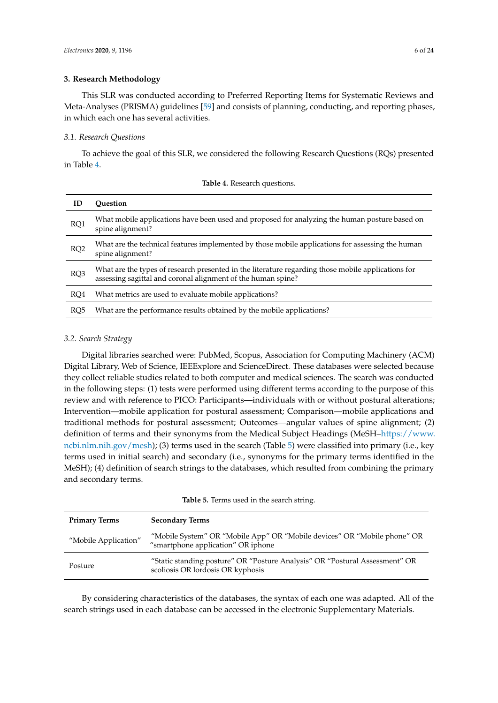## <span id="page-5-0"></span>**3. Research Methodology**

This SLR was conducted according to Preferred Reporting Items for Systematic Reviews and Meta-Analyses (PRISMA) guidelines [\[59\]](#page-21-19) and consists of planning, conducting, and reporting phases, in which each one has several activities.

#### *3.1. Research Questions*

To achieve the goal of this SLR, we considered the following Research Questions (RQs) presented in Table [4.](#page-5-1)

<span id="page-5-1"></span>

| ΙD              | Ouestion                                                                                                                                                           |
|-----------------|--------------------------------------------------------------------------------------------------------------------------------------------------------------------|
| RQ1             | What mobile applications have been used and proposed for analyzing the human posture based on<br>spine alignment?                                                  |
| RQ <sub>2</sub> | What are the technical features implemented by those mobile applications for assessing the human<br>spine alignment?                                               |
| RO <sub>3</sub> | What are the types of research presented in the literature regarding those mobile applications for<br>assessing sagittal and coronal alignment of the human spine? |
| RO4             | What metrics are used to evaluate mobile applications?                                                                                                             |
| RO <sub>5</sub> | What are the performance results obtained by the mobile applications?                                                                                              |

**Table 4.** Research questions.

#### *3.2. Search Strategy*

Digital libraries searched were: PubMed, Scopus, Association for Computing Machinery (ACM) Digital Library, Web of Science, IEEExplore and ScienceDirect. These databases were selected because they collect reliable studies related to both computer and medical sciences. The search was conducted in the following steps: (1) tests were performed using different terms according to the purpose of this review and with reference to PICO: Participants—individuals with or without postural alterations; Intervention—mobile application for postural assessment; Comparison—mobile applications and traditional methods for postural assessment; Outcomes—angular values of spine alignment; (2) definition of terms and their synonyms from the Medical Subject Headings (MeSH[–https://www.](https://www.ncbi.nlm.nih.gov/mesh) [ncbi.nlm.nih.gov/mesh\)](https://www.ncbi.nlm.nih.gov/mesh); (3) terms used in the search (Table [5\)](#page-5-2) were classified into primary (i.e., key terms used in initial search) and secondary (i.e., synonyms for the primary terms identified in the MeSH); (4) definition of search strings to the databases, which resulted from combining the primary and secondary terms.

| Table 5. Terms used in the search string. |  |  |  |  |  |  |
|-------------------------------------------|--|--|--|--|--|--|
|-------------------------------------------|--|--|--|--|--|--|

<span id="page-5-2"></span>

| <b>Primary Terms</b> | <b>Secondary Terms</b>                                                                                           |
|----------------------|------------------------------------------------------------------------------------------------------------------|
| "Mobile Application" | "Mobile System" OR "Mobile App" OR "Mobile devices" OR "Mobile phone" OR<br>"smartphone application" OR iphone   |
| Posture              | "Static standing posture" OR "Posture Analysis" OR "Postural Assessment" OR<br>scoliosis OR lordosis OR kyphosis |

By considering characteristics of the databases, the syntax of each one was adapted. All of the search strings used in each database can be accessed in the electronic Supplementary Materials.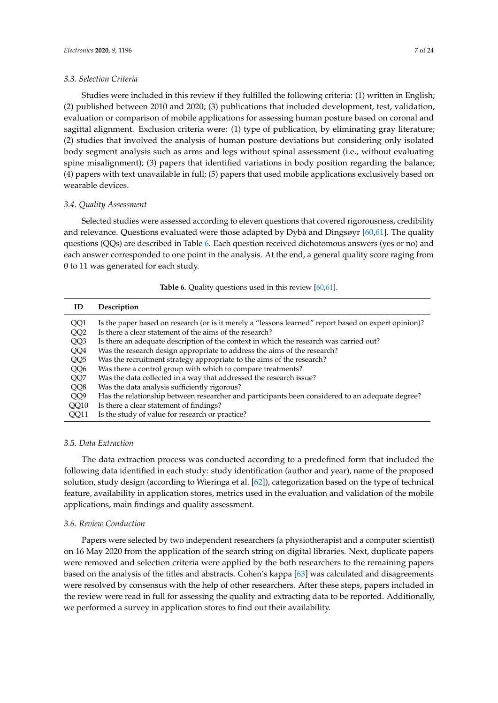#### *3.3. Selection Criteria*

Studies were included in this review if they fulfilled the following criteria: (1) written in English; (2) published between 2010 and 2020; (3) publications that included development, test, validation, evaluation or comparison of mobile applications for assessing human posture based on coronal and sagittal alignment. Exclusion criteria were: (1) type of publication, by eliminating gray literature; (2) studies that involved the analysis of human posture deviations but considering only isolated body segment analysis such as arms and legs without spinal assessment (i.e., without evaluating spine misalignment); (3) papers that identified variations in body position regarding the balance; (4) papers with text unavailable in full; (5) papers that used mobile applications exclusively based on wearable devices.

#### *3.4. Quality Assessment*

Selected studies were assessed according to eleven questions that covered rigorousness, credibility and relevance. Questions evaluated were those adapted by Dybå and Dingsøyr [\[60](#page-22-0)[,61\]](#page-22-1). The quality questions (QQs) are described in Table [6.](#page-6-0) Each question received dichotomous answers (yes or no) and each answer corresponded to one point in the analysis. At the end, a general quality score raging from 0 to 11 was generated for each study.

<span id="page-6-0"></span>

| ΙD              | Description                                                                                          |
|-----------------|------------------------------------------------------------------------------------------------------|
| QQ1             | Is the paper based on research (or is it merely a "lessons learned" report based on expert opinion)? |
| QQ <sub>2</sub> | Is there a clear statement of the aims of the research?                                              |
| QQ3             | Is there an adequate description of the context in which the research was carried out?               |
| QQ4             | Was the research design appropriate to address the aims of the research?                             |
| QQ5             | Was the recruitment strategy appropriate to the aims of the research?                                |
| QQ6             | Was there a control group with which to compare treatments?                                          |
| QQ7             | Was the data collected in a way that addressed the research issue?                                   |
| QQ8             | Was the data analysis sufficiently rigorous?                                                         |
| QQ9             | Has the relationship between researcher and participants been considered to an adequate degree?      |
| QQ10            | Is there a clear statement of findings?                                                              |
| QQ11            | Is the study of value for research or practice?                                                      |

|  |  | Table 6. Quality questions used in this review [60,61]. |  |  |  |  |
|--|--|---------------------------------------------------------|--|--|--|--|
|--|--|---------------------------------------------------------|--|--|--|--|

## <span id="page-6-1"></span>*3.5. Data Extraction*

The data extraction process was conducted according to a predefined form that included the following data identified in each study: study identification (author and year), name of the proposed solution, study design (according to Wieringa et al. [\[62\]](#page-22-2)), categorization based on the type of technical feature, availability in application stores, metrics used in the evaluation and validation of the mobile applications, main findings and quality assessment.

## *3.6. Review Conduction*

Papers were selected by two independent researchers (a physiotherapist and a computer scientist) on 16 May 2020 from the application of the search string on digital libraries. Next, duplicate papers were removed and selection criteria were applied by the both researchers to the remaining papers based on the analysis of the titles and abstracts. Cohen's kappa [\[63\]](#page-22-3) was calculated and disagreements were resolved by consensus with the help of other researchers. After these steps, papers included in the review were read in full for assessing the quality and extracting data to be reported. Additionally, we performed a survey in application stores to find out their availability.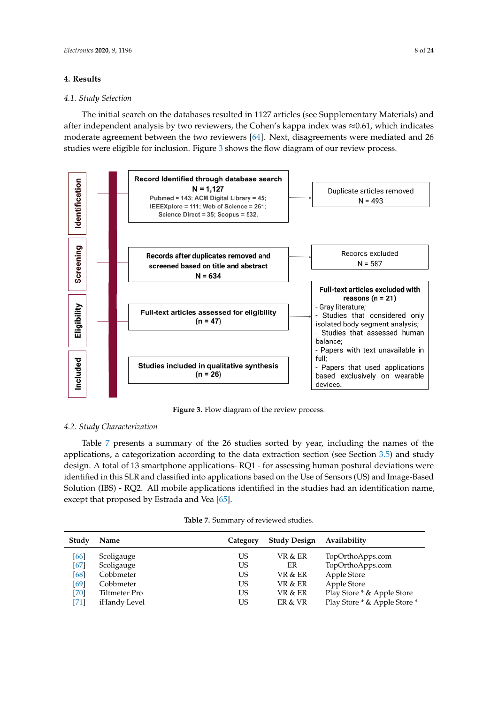# <span id="page-7-0"></span>**4. Results**

### *4.1. Study Selection*

The initial search on the databases resulted in 1127 articles (see Supplementary Materials) and after independent analysis by two reviewers, the Cohen's kappa index was  $\approx 0.61$ , which indicates moderate agreement between the two reviewers [\[64\]](#page-22-4). Next, disagreements were mediated and 26 studies were eligible for inclusion. Figure [3](#page-7-1) shows the flow diagram of our review process.

<span id="page-7-1"></span>

**Figure 3.** Flow diagram of the review process.

# *4.2. Study Characterization*

Table [7](#page-7-2) presents a summary of the 26 studies sorted by year, including the names of the applications, a categorization according to the data extraction section (see Section [3.5\)](#page-6-1) and study design. A total of 13 smartphone applications- RQ1 - for assessing human postural deviations were identified in this SLR and classified into applications based on the Use of Sensors (US) and Image-Based Solution (IBS) - RQ2. All mobile applications identified in the studies had an identification name, except that proposed by Estrada and Vea [\[65\]](#page-22-5).

**Table 7.** Summary of reviewed studies.

<span id="page-7-2"></span>

| Study | Name          | Category | <b>Study Design</b> | Availability                 |
|-------|---------------|----------|---------------------|------------------------------|
| [66]  | Scoligauge    | US       | VR & ER             | TopOrthoApps.com             |
| [67]  | Scoligauge    | US       | ER                  | TopOrthoApps.com             |
| [68]  | Cobbmeter     | US       | VR & ER             | Apple Store                  |
| [69]  | Cobbmeter     | US       | VR & ER             | Apple Store                  |
| [70]  | Tiltmeter Pro | US       | VR & ER             | Play Store * & Apple Store   |
| [71]  | iHandy Level  | US       | ER & VR             | Play Store * & Apple Store * |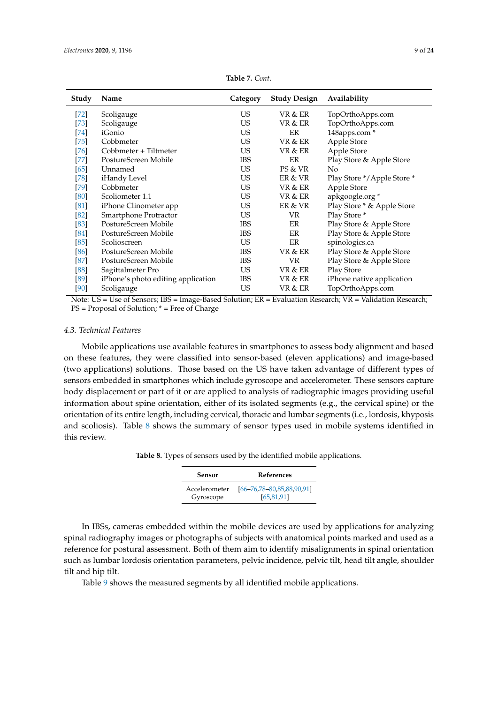| Study  | Name                               | Category   | <b>Study Design</b> | Availability               |
|--------|------------------------------------|------------|---------------------|----------------------------|
| [72]   | Scoligauge                         | US         | VR & ER             | TopOrthoApps.com           |
| $[73]$ | Scoligauge                         | US         | VR & ER             | TopOrthoApps.com           |
| $[74]$ | iGonio                             | US.        | ER                  | 148apps.com*               |
| $[75]$ | Cobbmeter                          | US         | VR & ER             | Apple Store                |
| $[76]$ | Cobbmeter + Tiltmeter              | US         | VR & ER             | Apple Store                |
| $[77]$ | PostureScreen Mobile               | <b>IBS</b> | ER                  | Play Store & Apple Store   |
| [65]   | Unnamed                            | US.        | PS & VR             | N <sub>o</sub>             |
| [78]   | iHandy Level                       | <b>US</b>  | ER & VR             | Play Store */Apple Store * |
| [79]   | Cobbmeter                          | <b>US</b>  | VR & ER             | Apple Store                |
| [80]   | Scoliometer 1.1                    | US         | VR & ER             | apkgoogle.org*             |
| [81]   | iPhone Clinometer app              | US         | ER & VR             | Play Store * & Apple Store |
| $[82]$ | Smartphone Protractor              | <b>US</b>  | VR                  | Play Store *               |
| [83]   | PostureScreen Mobile               | IBS        | ER                  | Play Store & Apple Store   |
| [84]   | PostureScreen Mobile               | <b>IBS</b> | ER                  | Play Store & Apple Store   |
| [85]   | Scolioscreen                       | US         | ER                  | spinologics.ca             |
| [86]   | PostureScreen Mobile               | <b>IBS</b> | VR & ER             | Play Store & Apple Store   |
| [87]   | PostureScreen Mobile               | <b>IBS</b> | <b>VR</b>           | Play Store & Apple Store   |
| [88]   | Sagittalmeter Pro                  | US         | VR & ER             | Play Store                 |
| [89]   | iPhone's photo editing application | <b>IBS</b> | VR & ER             | iPhone native application  |
| [90]   | Scoligauge                         | US         | VR & ER             | TopOrthoApps.com           |

**Table 7.** *Cont*.

Note: US = Use of Sensors; IBS = Image-Based Solution; ER = Evaluation Research; VR = Validation Research; PS = Proposal of Solution; \* = Free of Charge

#### *4.3. Technical Features*

Mobile applications use available features in smartphones to assess body alignment and based on these features, they were classified into sensor-based (eleven applications) and image-based (two applications) solutions. Those based on the US have taken advantage of different types of sensors embedded in smartphones which include gyroscope and accelerometer. These sensors capture body displacement or part of it or are applied to analysis of radiographic images providing useful information about spine orientation, either of its isolated segments (e.g., the cervical spine) or the orientation of its entire length, including cervical, thoracic and lumbar segments (i.e., lordosis, khyposis and scoliosis). Table [8](#page-8-0) shows the summary of sensor types used in mobile systems identified in this review.

<span id="page-8-0"></span>**Table 8.** Types of sensors used by the identified mobile applications.

| <b>Sensor</b> | References                           |
|---------------|--------------------------------------|
| Accelerometer | $[66 - 76, 78 - 80, 85, 88, 90, 91]$ |
| Gyroscope     | [65, 81, 91]                         |

In IBSs, cameras embedded within the mobile devices are used by applications for analyzing spinal radiography images or photographs of subjects with anatomical points marked and used as a reference for postural assessment. Both of them aim to identify misalignments in spinal orientation such as lumbar lordosis orientation parameters, pelvic incidence, pelvic tilt, head tilt angle, shoulder tilt and hip tilt.

Table [9](#page-9-0) shows the measured segments by all identified mobile applications.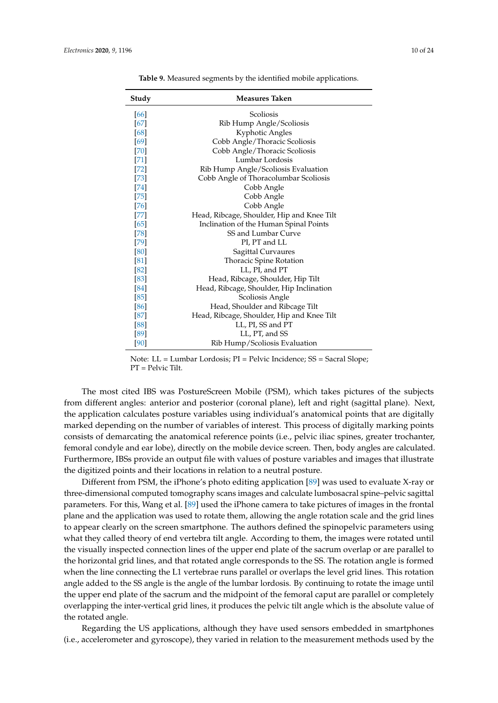<span id="page-9-0"></span>

| Study  | <b>Measures Taken</b>                      |
|--------|--------------------------------------------|
| 66     | Scoliosis                                  |
| $[67]$ | Rib Hump Angle/Scoliosis                   |
| [68]   | Kyphotic Angles                            |
| [69]   | Cobb Angle/Thoracic Scoliosis              |
| [70]   | Cobb Angle/Thoracic Scoliosis              |
| [71]   | Lumbar Lordosis                            |
| $[72]$ | Rib Hump Angle/Scoliosis Evaluation        |
| [73]   | Cobb Angle of Thoracolumbar Scoliosis      |
| [74]   | Cobb Angle                                 |
| [75]   | Cobb Angle                                 |
| [76]   | Cobb Angle                                 |
| [77]   | Head, Ribcage, Shoulder, Hip and Knee Tilt |
| $[65]$ | Inclination of the Human Spinal Points     |
| [78]   | SS and Lumbar Curve                        |
| [79]   | PI, PT and LL                              |
| [80]   | Sagittal Curvaures                         |
| [81]   | Thoracic Spine Rotation                    |
| $[82]$ | LL, PI, and PT                             |
| $[83]$ | Head, Ribcage, Shoulder, Hip Tilt          |
| [84]   | Head, Ribcage, Shoulder, Hip Inclination   |
| [85]   | Scoliosis Angle                            |
| [86]   | Head, Shoulder and Ribcage Tilt            |
| $[87]$ | Head, Ribcage, Shoulder, Hip and Knee Tilt |
| [88]   | LL, PI, SS and PT                          |
| [89]   | LL, PT, and SS                             |
| [90]   | Rib Hump/Scoliosis Evaluation              |

**Table 9.** Measured segments by the identified mobile applications.

The most cited IBS was PostureScreen Mobile (PSM), which takes pictures of the subjects from different angles: anterior and posterior (coronal plane), left and right (sagittal plane). Next, the application calculates posture variables using individual's anatomical points that are digitally marked depending on the number of variables of interest. This process of digitally marking points consists of demarcating the anatomical reference points (i.e., pelvic iliac spines, greater trochanter, femoral condyle and ear lobe), directly on the mobile device screen. Then, body angles are calculated. Furthermore, IBSs provide an output file with values of posture variables and images that illustrate the digitized points and their locations in relation to a neutral posture.

Different from PSM, the iPhone's photo editing application [\[89\]](#page-23-8) was used to evaluate X-ray or three-dimensional computed tomography scans images and calculate lumbosacral spine–pelvic sagittal parameters. For this, Wang et al. [\[89\]](#page-23-8) used the iPhone camera to take pictures of images in the frontal plane and the application was used to rotate them, allowing the angle rotation scale and the grid lines to appear clearly on the screen smartphone. The authors defined the spinopelvic parameters using what they called theory of end vertebra tilt angle. According to them, the images were rotated until the visually inspected connection lines of the upper end plate of the sacrum overlap or are parallel to the horizontal grid lines, and that rotated angle corresponds to the SS. The rotation angle is formed when the line connecting the L1 vertebrae runs parallel or overlaps the level grid lines. This rotation angle added to the SS angle is the angle of the lumbar lordosis. By continuing to rotate the image until the upper end plate of the sacrum and the midpoint of the femoral caput are parallel or completely overlapping the inter-vertical grid lines, it produces the pelvic tilt angle which is the absolute value of the rotated angle.

Regarding the US applications, although they have used sensors embedded in smartphones (i.e., accelerometer and gyroscope), they varied in relation to the measurement methods used by the

Note: LL = Lumbar Lordosis; PI = Pelvic Incidence; SS = Sacral Slope; PT = Pelvic Tilt.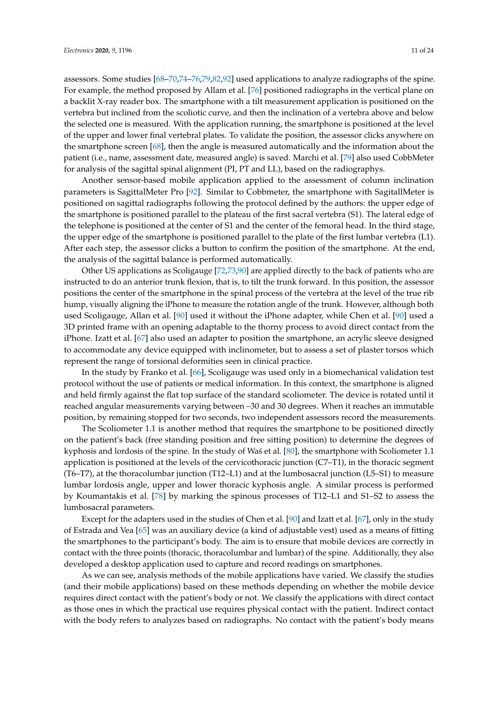assessors. Some studies [\[68–](#page-22-8)[70,](#page-22-10)[74](#page-22-14)[–76,](#page-22-16)[79,](#page-22-19)[82](#page-23-1)[,92\]](#page-23-11) used applications to analyze radiographs of the spine. For example, the method proposed by Allam et al. [\[76\]](#page-22-16) positioned radiographs in the vertical plane on a backlit X-ray reader box. The smartphone with a tilt measurement application is positioned on the vertebra but inclined from the scoliotic curve, and then the inclination of a vertebra above and below the selected one is measured. With the application running, the smartphone is positioned at the level of the upper and lower final vertebral plates. To validate the position, the assessor clicks anywhere on the smartphone screen [\[68\]](#page-22-8), then the angle is measured automatically and the information about the patient (i.e., name, assessment date, measured angle) is saved. Marchi et al. [\[79\]](#page-22-19) also used CobbMeter for analysis of the sagittal spinal alignment (PI, PT and LL), based on the radiographys.

Another sensor-based mobile application applied to the assessment of column inclination parameters is SagittalMeter Pro [\[92\]](#page-23-11). Similar to Cobbmeter, the smartphone with SagitallMeter is positioned on sagittal radiographs following the protocol defined by the authors: the upper edge of the smartphone is positioned parallel to the plateau of the first sacral vertebra (S1). The lateral edge of the telephone is positioned at the center of S1 and the center of the femoral head. In the third stage, the upper edge of the smartphone is positioned parallel to the plate of the first lumbar vertebra (L1). After each step, the assessor clicks a button to confirm the position of the smartphone. At the end, the analysis of the sagittal balance is performed automatically.

Other US applications as Scoligauge [\[72,](#page-22-12)[73](#page-22-13)[,90\]](#page-23-9) are applied directly to the back of patients who are instructed to do an anterior trunk flexion, that is, to tilt the trunk forward. In this position, the assessor positions the center of the smartphone in the spinal process of the vertebra at the level of the true rib hump, visually aligning the iPhone to measure the rotation angle of the trunk. However, although both used Scoligauge, Allan et al. [\[90\]](#page-23-9) used it without the iPhone adapter, while Chen et al. [\[90\]](#page-23-9) used a 3D printed frame with an opening adaptable to the thorny process to avoid direct contact from the iPhone. Izatt et al. [\[67\]](#page-22-7) also used an adapter to position the smartphone, an acrylic sleeve designed to accommodate any device equipped with inclinometer, but to assess a set of plaster torsos which represent the range of torsional deformities seen in clinical practice.

In the study by Franko et al. [\[66\]](#page-22-6), Scoligauge was used only in a biomechanical validation test protocol without the use of patients or medical information. In this context, the smartphone is aligned and held firmly against the flat top surface of the standard scoliometer. The device is rotated until it reached angular measurements varying between –30 and 30 degrees. When it reaches an immutable position, by remaining stopped for two seconds, two independent assessors record the measurements.

The Scoliometer 1.1 is another method that requires the smartphone to be positioned directly on the patient's back (free standing position and free sitting position) to determine the degrees of kyphosis and lordosis of the spine. In the study of Was et al. [\[80\]](#page-22-20), the smartphone with Scoliometer 1.1 application is positioned at the levels of the cervicothoracic junction (C7–T1), in the thoracic segment (T6–T7), at the thoracolumbar junction (T12–L1) and at the lumbosacral junction (L5–S1) to measure lumbar lordosis angle, upper and lower thoracic kyphosis angle. A similar process is performed by Koumantakis et al. [\[78\]](#page-22-18) by marking the spinous processes of T12–L1 and S1–S2 to assess the lumbosacral parameters.

Except for the adapters used in the studies of Chen et al. [\[90\]](#page-23-9) and Izatt et al. [\[67\]](#page-22-7), only in the study of Estrada and Vea [\[65\]](#page-22-5) was an auxiliary device (a kind of adjustable vest) used as a means of fitting the smartphones to the participant's body. The aim is to ensure that mobile devices are correctly in contact with the three points (thoracic, thoracolumbar and lumbar) of the spine. Additionally, they also developed a desktop application used to capture and record readings on smartphones.

As we can see, analysis methods of the mobile applications have varied. We classify the studies (and their mobile applications) based on these methods depending on whether the mobile device requires direct contact with the patient's body or not. We classify the applications with direct contact as those ones in which the practical use requires physical contact with the patient. Indirect contact with the body refers to analyzes based on radiographs. No contact with the patient's body means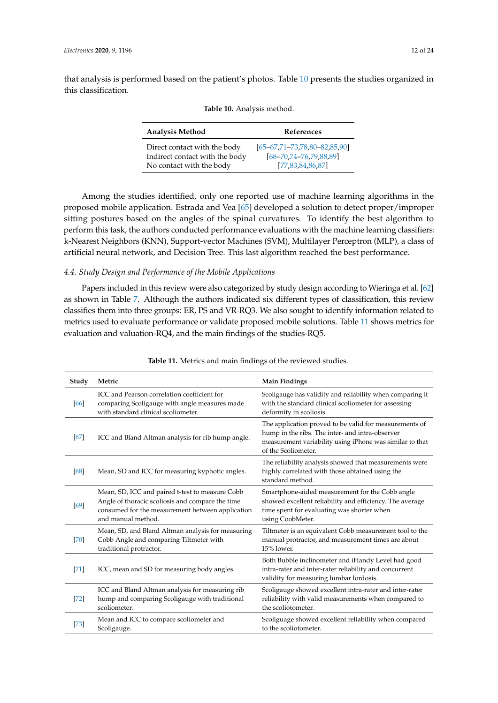<span id="page-11-0"></span>that analysis is performed based on the patient's photos. Table [10](#page-11-0) presents the studies organized in this classification.

| <b>Analysis Method</b>                                                                     | References                                                                                        |
|--------------------------------------------------------------------------------------------|---------------------------------------------------------------------------------------------------|
| Direct contact with the body<br>Indirect contact with the body<br>No contact with the body | $[65 - 67, 71 - 73, 78, 80 - 82, 85, 90]$<br>$[68 - 70, 74 - 76, 79, 88, 89]$<br>[77,83,84,86,87] |

**Table 10.** Analysis method.

Among the studies identified, only one reported use of machine learning algorithms in the proposed mobile application. Estrada and Vea [\[65\]](#page-22-5) developed a solution to detect proper/improper sitting postures based on the angles of the spinal curvatures. To identify the best algorithm to perform this task, the authors conducted performance evaluations with the machine learning classifiers: k-Nearest Neighbors (KNN), Support-vector Machines (SVM), Multilayer Perceptron (MLP), a class of artificial neural network, and Decision Tree. This last algorithm reached the best performance.

# *4.4. Study Design and Performance of the Mobile Applications*

 $\overline{a}$ 

 $\overline{a}$ 

Papers included in this review were also categorized by study design according to Wieringa et al. [\[62\]](#page-22-2) as shown in Table [7.](#page-7-2) Although the authors indicated six different types of classification, this review classifies them into three groups: ER, PS and VR-RQ3. We also sought to identify information related to metrics used to evaluate performance or validate proposed mobile solutions. Table [11](#page-11-1) shows metrics for evaluation and valuation-RQ4, and the main findings of the studies-RQ5.

<span id="page-11-1"></span>

| Study  | <b>Main Findings</b><br>Metric                                                                                                                                                |                                                                                                                                                                                              |  |
|--------|-------------------------------------------------------------------------------------------------------------------------------------------------------------------------------|----------------------------------------------------------------------------------------------------------------------------------------------------------------------------------------------|--|
| [66]   | ICC and Pearson correlation coefficient for<br>comparing Scoligauge with angle measures made<br>with standard clinical scoliometer.                                           | Scoligauge has validity and reliability when comparing it<br>with the standard clinical scoliometer for assessing<br>deformity in scoliosis.                                                 |  |
| [67]   | ICC and Bland Altman analysis for rib hump angle.                                                                                                                             | The application proved to be valid for measurements of<br>hump in the ribs. The inter- and intra-observer<br>measurement variability using iPhone was similar to that<br>of the Scoliometer. |  |
| [68]   | Mean, SD and ICC for measuring kyphotic angles.                                                                                                                               | The reliability analysis showed that measurements were<br>highly correlated with those obtained using the<br>standard method.                                                                |  |
| [69]   | Mean, SD, ICC and paired t-test to measure Cobb<br>Angle of thoracic scoliosis and compare the time<br>consumed for the measurement between application<br>and manual method. | Smartphone-aided measurement for the Cobb angle<br>showed excellent reliability and efficiency. The average<br>time spent for evaluating was shorter when<br>using CoobMeter.                |  |
| [70]   | Mean, SD, and Bland Altman analysis for measuring<br>Cobb Angle and comparing Tiltmeter with<br>traditional protractor.                                                       | Tiltmeter is an equivalent Cobb measurement tool to the<br>manual protractor, and measurement times are about<br>15% lower.                                                                  |  |
| [71]   | ICC, mean and SD for measuring body angles.                                                                                                                                   | Both Bubble inclinometer and iHandy Level had good<br>intra-rater and inter-rater reliability and concurrent<br>validity for measuring lumbar lordosis.                                      |  |
| $[72]$ | ICC and Bland Altman analysis for measuring rib<br>hump and comparing Scoligauge with traditional<br>scoliometer.                                                             | Scoligauge showed excellent intra-rater and inter-rater<br>reliability with valid measurements when compared to<br>the scoliotometer.                                                        |  |
| $[73]$ | Mean and ICC to compare scoliometer and<br>Scoligauge.                                                                                                                        | Scoliguage showed excellent reliability when compared<br>to the scoliotometer.                                                                                                               |  |

**Table 11.** Metrics and main findings of the reviewed studies.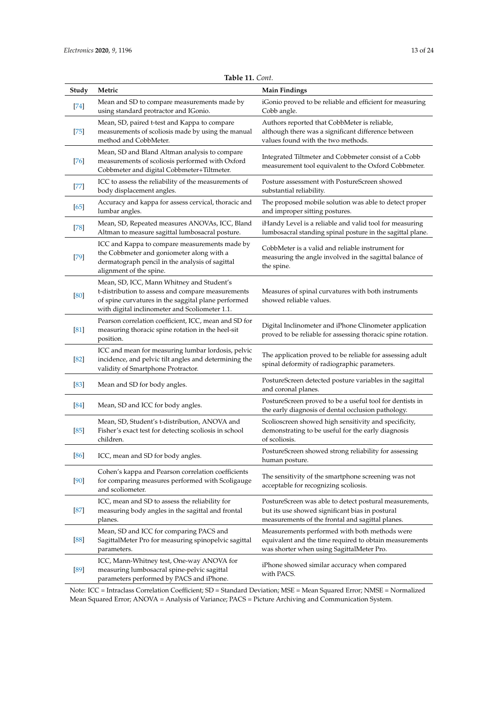| Study  | Metric<br><b>Main Findings</b>                                                                                                                                                                          |                                                                                                                                                                |  |
|--------|---------------------------------------------------------------------------------------------------------------------------------------------------------------------------------------------------------|----------------------------------------------------------------------------------------------------------------------------------------------------------------|--|
| $[74]$ | Mean and SD to compare measurements made by<br>using standard protractor and IGonio.                                                                                                                    | iGonio proved to be reliable and efficient for measuring<br>Cobb angle.                                                                                        |  |
| $[75]$ | Mean, SD, paired t-test and Kappa to compare<br>measurements of scoliosis made by using the manual<br>method and CobbMeter.                                                                             | Authors reported that CobbMeter is reliable,<br>although there was a significant difference between<br>values found with the two methods.                      |  |
| $[76]$ | Mean, SD and Bland Altman analysis to compare<br>measurements of scoliosis performed with Oxford<br>Cobbmeter and digital Cobbmeter+Tiltmeter.                                                          | Integrated Tiltmeter and Cobbmeter consist of a Cobb<br>measurement tool equivalent to the Oxford Cobbmeter.                                                   |  |
| $[77]$ | ICC to assess the reliability of the measurements of<br>body displacement angles.                                                                                                                       | Posture assessment with PostureScreen showed<br>substantial reliability.                                                                                       |  |
| $[65]$ | Accuracy and kappa for assess cervical, thoracic and<br>lumbar angles.                                                                                                                                  | The proposed mobile solution was able to detect proper<br>and improper sitting postures.                                                                       |  |
| $[78]$ | Mean, SD, Repeated measures ANOVAs, ICC, Bland<br>Altman to measure sagittal lumbosacral posture.                                                                                                       | iHandy Level is a reliable and valid tool for measuring<br>lumbosacral standing spinal posture in the sagittal plane.                                          |  |
| $[79]$ | ICC and Kappa to compare measurements made by<br>the Cobbmeter and goniometer along with a<br>dermatograph pencil in the analysis of sagittal<br>alignment of the spine.                                | CobbMeter is a valid and reliable instrument for<br>measuring the angle involved in the sagittal balance of<br>the spine.                                      |  |
| [80]   | Mean, SD, ICC, Mann Whitney and Student's<br>t-distribution to assess and compare measurements<br>of spine curvatures in the saggital plane performed<br>with digital inclinometer and Scoliometer 1.1. | Measures of spinal curvatures with both instruments<br>showed reliable values.                                                                                 |  |
| [81]   | Pearson correlation coefficient, ICC, mean and SD for<br>measuring thoracic spine rotation in the heel-sit<br>position.                                                                                 | Digital Inclinometer and iPhone Clinometer application<br>proved to be reliable for assessing thoracic spine rotation.                                         |  |
| $[82]$ | ICC and mean for measuring lumbar lordosis, pelvic<br>incidence, and pelvic tilt angles and determining the<br>validity of Smartphone Protractor.                                                       | The application proved to be reliable for assessing adult<br>spinal deformity of radiographic parameters.                                                      |  |
| [83]   | Mean and SD for body angles.                                                                                                                                                                            | PostureScreen detected posture variables in the sagittal<br>and coronal planes.                                                                                |  |
| [84]   | Mean, SD and ICC for body angles.                                                                                                                                                                       | PostureScreen proved to be a useful tool for dentists in<br>the early diagnosis of dental occlusion pathology.                                                 |  |
| $[85]$ | Mean, SD, Student's t-distribution, ANOVA and<br>Fisher's exact test for detecting scoliosis in school<br>children.                                                                                     | Scolioscreen showed high sensitivity and specificity,<br>demonstrating to be useful for the early diagnosis<br>of scoliosis.                                   |  |
| $[86]$ | ICC, mean and SD for body angles.                                                                                                                                                                       | PostureScreen showed strong reliability for assessing<br>human posture.                                                                                        |  |
| [90]   | Cohen's kappa and Pearson correlation coefficients<br>for comparing measures performed with Scoligauge<br>and scoliometer.                                                                              | The sensitivity of the smartphone screening was not<br>acceptable for recognizing scoliosis.                                                                   |  |
| $[87]$ | ICC, mean and SD to assess the reliability for<br>measuring body angles in the sagittal and frontal<br>planes.                                                                                          | PostureScreen was able to detect postural measurements,<br>but its use showed significant bias in postural<br>measurements of the frontal and sagittal planes. |  |
| $[88]$ | Mean, SD and ICC for comparing PACS and<br>SagittalMeter Pro for measuring spinopelvic sagittal<br>parameters.                                                                                          | Measurements performed with both methods were<br>equivalent and the time required to obtain measurements<br>was shorter when using SagittalMeter Pro.          |  |
| $[89]$ | ICC, Mann-Whitney test, One-way ANOVA for<br>measuring lumbosacral spine-pelvic sagittal<br>parameters performed by PACS and iPhone.                                                                    | iPhone showed similar accuracy when compared<br>with PACS.                                                                                                     |  |

**Table 11.** *Cont.*

Note: ICC = Intraclass Correlation Coefficient; SD = Standard Deviation; MSE = Mean Squared Error; NMSE = Normalized Mean Squared Error; ANOVA = Analysis of Variance; PACS = Picture Archiving and Communication System.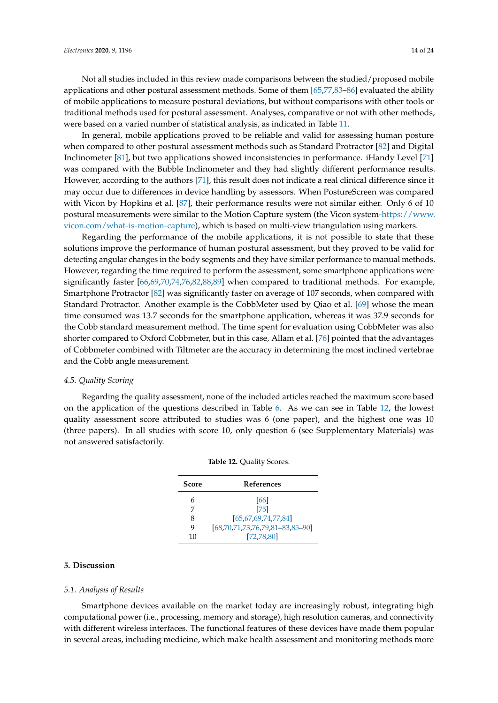Not all studies included in this review made comparisons between the studied/proposed mobile applications and other postural assessment methods. Some of them [\[65,](#page-22-5)[77](#page-22-17)[,83–](#page-23-2)[86\]](#page-23-5) evaluated the ability of mobile applications to measure postural deviations, but without comparisons with other tools or traditional methods used for postural assessment. Analyses, comparative or not with other methods, were based on a varied number of statistical analysis, as indicated in Table [11.](#page-11-1)

In general, mobile applications proved to be reliable and valid for assessing human posture when compared to other postural assessment methods such as Standard Protractor [\[82\]](#page-23-1) and Digital Inclinometer [\[81\]](#page-23-0), but two applications showed inconsistencies in performance. iHandy Level [\[71\]](#page-22-11) was compared with the Bubble Inclinometer and they had slightly different performance results. However, according to the authors [\[71\]](#page-22-11), this result does not indicate a real clinical difference since it may occur due to differences in device handling by assessors. When PostureScreen was compared with Vicon by Hopkins et al. [\[87\]](#page-23-6), their performance results were not similar either. Only 6 of 10 postural measurements were similar to the Motion Capture system (the Vicon system[-https://www.](https://www.vicon.com/what-is-motion-capture) [vicon.com/what-is-motion-capture\)](https://www.vicon.com/what-is-motion-capture), which is based on multi-view triangulation using markers.

Regarding the performance of the mobile applications, it is not possible to state that these solutions improve the performance of human postural assessment, but they proved to be valid for detecting angular changes in the body segments and they have similar performance to manual methods. However, regarding the time required to perform the assessment, some smartphone applications were significantly faster [\[66](#page-22-6)[,69](#page-22-9)[,70](#page-22-10)[,74](#page-22-14)[,76](#page-22-16)[,82](#page-23-1)[,88](#page-23-7)[,89\]](#page-23-8) when compared to traditional methods. For example, Smartphone Protractor [\[82\]](#page-23-1) was significantly faster on average of 107 seconds, when compared with Standard Protractor. Another example is the CobbMeter used by Qiao et al. [\[69\]](#page-22-9) whose the mean time consumed was 13.7 seconds for the smartphone application, whereas it was 37.9 seconds for the Cobb standard measurement method. The time spent for evaluation using CobbMeter was also shorter compared to Oxford Cobbmeter, but in this case, Allam et al. [\[76\]](#page-22-16) pointed that the advantages of Cobbmeter combined with Tiltmeter are the accuracy in determining the most inclined vertebrae and the Cobb angle measurement.

## *4.5. Quality Scoring*

<span id="page-13-1"></span>Regarding the quality assessment, none of the included articles reached the maximum score based on the application of the questions described in Table [6.](#page-6-0) As we can see in Table [12,](#page-13-1) the lowest quality assessment score attributed to studies was 6 (one paper), and the highest one was 10 (three papers). In all studies with score 10, only question 6 (see Supplementary Materials) was not answered satisfactorily.

| Score | References                                   |
|-------|----------------------------------------------|
| 6     | [66]                                         |
|       | [75]                                         |
| 8     | [65,67,69,74,77,84]                          |
| Q     | $[68, 70, 71, 73, 76, 79, 81 - 83, 85 - 90]$ |
| 10    | [72, 78, 80]                                 |

| Table 12. Quality Scores. |  |  |
|---------------------------|--|--|
|---------------------------|--|--|

#### <span id="page-13-0"></span>**5. Discussion**

#### *5.1. Analysis of Results*

Smartphone devices available on the market today are increasingly robust, integrating high computational power (i.e., processing, memory and storage), high resolution cameras, and connectivity with different wireless interfaces. The functional features of these devices have made them popular in several areas, including medicine, which make health assessment and monitoring methods more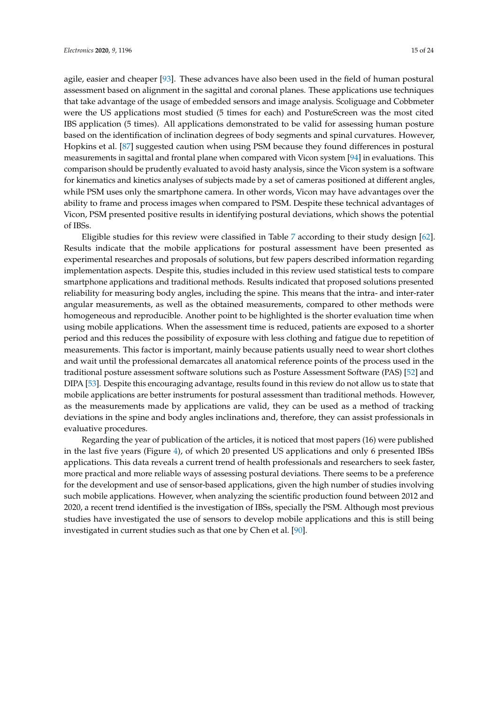agile, easier and cheaper [\[93\]](#page-23-12). These advances have also been used in the field of human postural assessment based on alignment in the sagittal and coronal planes. These applications use techniques that take advantage of the usage of embedded sensors and image analysis. Scoliguage and Cobbmeter were the US applications most studied (5 times for each) and PostureScreen was the most cited IBS application (5 times). All applications demonstrated to be valid for assessing human posture based on the identification of inclination degrees of body segments and spinal curvatures. However, Hopkins et al. [\[87\]](#page-23-6) suggested caution when using PSM because they found differences in postural measurements in sagittal and frontal plane when compared with Vicon system [\[94\]](#page-23-13) in evaluations. This comparison should be prudently evaluated to avoid hasty analysis, since the Vicon system is a software for kinematics and kinetics analyses of subjects made by a set of cameras positioned at different angles, while PSM uses only the smartphone camera. In other words, Vicon may have advantages over the ability to frame and process images when compared to PSM. Despite these technical advantages of Vicon, PSM presented positive results in identifying postural deviations, which shows the potential of IBSs.

Eligible studies for this review were classified in Table [7](#page-7-2) according to their study design [\[62\]](#page-22-2). Results indicate that the mobile applications for postural assessment have been presented as experimental researches and proposals of solutions, but few papers described information regarding implementation aspects. Despite this, studies included in this review used statistical tests to compare smartphone applications and traditional methods. Results indicated that proposed solutions presented reliability for measuring body angles, including the spine. This means that the intra- and inter-rater angular measurements, as well as the obtained measurements, compared to other methods were homogeneous and reproducible. Another point to be highlighted is the shorter evaluation time when using mobile applications. When the assessment time is reduced, patients are exposed to a shorter period and this reduces the possibility of exposure with less clothing and fatigue due to repetition of measurements. This factor is important, mainly because patients usually need to wear short clothes and wait until the professional demarcates all anatomical reference points of the process used in the traditional posture assessment software solutions such as Posture Assessment Software (PAS) [\[52\]](#page-21-12) and DIPA [\[53\]](#page-21-14). Despite this encouraging advantage, results found in this review do not allow us to state that mobile applications are better instruments for postural assessment than traditional methods. However, as the measurements made by applications are valid, they can be used as a method of tracking deviations in the spine and body angles inclinations and, therefore, they can assist professionals in evaluative procedures.

Regarding the year of publication of the articles, it is noticed that most papers (16) were published in the last five years (Figure [4\)](#page-15-0), of which 20 presented US applications and only 6 presented IBSs applications. This data reveals a current trend of health professionals and researchers to seek faster, more practical and more reliable ways of assessing postural deviations. There seems to be a preference for the development and use of sensor-based applications, given the high number of studies involving such mobile applications. However, when analyzing the scientific production found between 2012 and 2020, a recent trend identified is the investigation of IBSs, specially the PSM. Although most previous studies have investigated the use of sensors to develop mobile applications and this is still being investigated in current studies such as that one by Chen et al. [\[90\]](#page-23-9).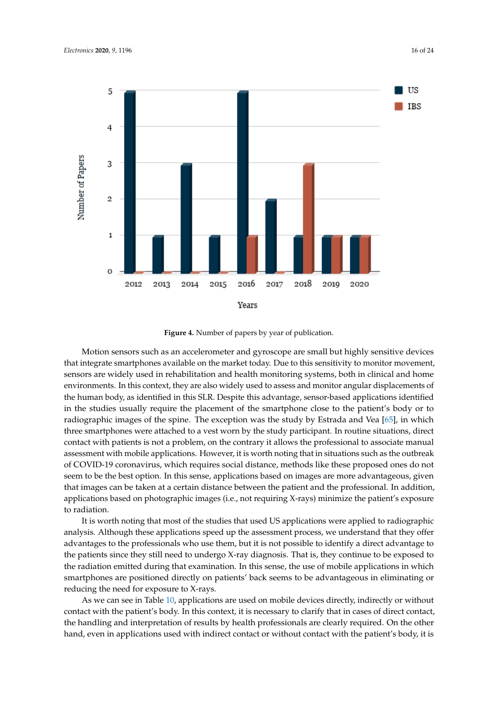<span id="page-15-0"></span>

**Figure 4.** Number of papers by year of publication.

Motion sensors such as an accelerometer and gyroscope are small but highly sensitive devices that integrate smartphones available on the market today. Due to this sensitivity to monitor movement, sensors are widely used in rehabilitation and health monitoring systems, both in clinical and home environments. In this context, they are also widely used to assess and monitor angular displacements of the human body, as identified in this SLR. Despite this advantage, sensor-based applications identified in the studies usually require the placement of the smartphone close to the patient's body or to radiographic images of the spine. The exception was the study by Estrada and Vea [\[65\]](#page-22-5), in which three smartphones were attached to a vest worn by the study participant. In routine situations, direct contact with patients is not a problem, on the contrary it allows the professional to associate manual assessment with mobile applications. However, it is worth noting that in situations such as the outbreak of COVID-19 coronavirus, which requires social distance, methods like these proposed ones do not seem to be the best option. In this sense, applications based on images are more advantageous, given that images can be taken at a certain distance between the patient and the professional. In addition, applications based on photographic images (i.e., not requiring X-rays) minimize the patient's exposure to radiation.

It is worth noting that most of the studies that used US applications were applied to radiographic analysis. Although these applications speed up the assessment process, we understand that they offer advantages to the professionals who use them, but it is not possible to identify a direct advantage to the patients since they still need to undergo X-ray diagnosis. That is, they continue to be exposed to the radiation emitted during that examination. In this sense, the use of mobile applications in which smartphones are positioned directly on patients' back seems to be advantageous in eliminating or reducing the need for exposure to X-rays.

As we can see in Table [10,](#page-11-0) applications are used on mobile devices directly, indirectly or without contact with the patient's body. In this context, it is necessary to clarify that in cases of direct contact, the handling and interpretation of results by health professionals are clearly required. On the other hand, even in applications used with indirect contact or without contact with the patient's body, it is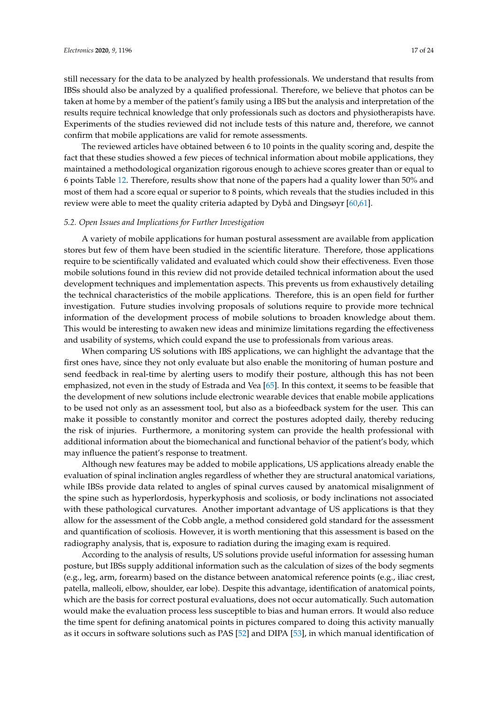still necessary for the data to be analyzed by health professionals. We understand that results from IBSs should also be analyzed by a qualified professional. Therefore, we believe that photos can be taken at home by a member of the patient's family using a IBS but the analysis and interpretation of the results require technical knowledge that only professionals such as doctors and physiotherapists have. Experiments of the studies reviewed did not include tests of this nature and, therefore, we cannot confirm that mobile applications are valid for remote assessments.

The reviewed articles have obtained between 6 to 10 points in the quality scoring and, despite the fact that these studies showed a few pieces of technical information about mobile applications, they maintained a methodological organization rigorous enough to achieve scores greater than or equal to 6 points Table [12.](#page-13-1) Therefore, results show that none of the papers had a quality lower than 50% and most of them had a score equal or superior to 8 points, which reveals that the studies included in this review were able to meet the quality criteria adapted by Dybå and Dingsøyr [\[60](#page-22-0)[,61\]](#page-22-1).

## *5.2. Open Issues and Implications for Further Investigation*

A variety of mobile applications for human postural assessment are available from application stores but few of them have been studied in the scientific literature. Therefore, those applications require to be scientifically validated and evaluated which could show their effectiveness. Even those mobile solutions found in this review did not provide detailed technical information about the used development techniques and implementation aspects. This prevents us from exhaustively detailing the technical characteristics of the mobile applications. Therefore, this is an open field for further investigation. Future studies involving proposals of solutions require to provide more technical information of the development process of mobile solutions to broaden knowledge about them. This would be interesting to awaken new ideas and minimize limitations regarding the effectiveness and usability of systems, which could expand the use to professionals from various areas.

When comparing US solutions with IBS applications, we can highlight the advantage that the first ones have, since they not only evaluate but also enable the monitoring of human posture and send feedback in real-time by alerting users to modify their posture, although this has not been emphasized, not even in the study of Estrada and Vea [\[65\]](#page-22-5). In this context, it seems to be feasible that the development of new solutions include electronic wearable devices that enable mobile applications to be used not only as an assessment tool, but also as a biofeedback system for the user. This can make it possible to constantly monitor and correct the postures adopted daily, thereby reducing the risk of injuries. Furthermore, a monitoring system can provide the health professional with additional information about the biomechanical and functional behavior of the patient's body, which may influence the patient's response to treatment.

Although new features may be added to mobile applications, US applications already enable the evaluation of spinal inclination angles regardless of whether they are structural anatomical variations, while IBSs provide data related to angles of spinal curves caused by anatomical misalignment of the spine such as hyperlordosis, hyperkyphosis and scoliosis, or body inclinations not associated with these pathological curvatures. Another important advantage of US applications is that they allow for the assessment of the Cobb angle, a method considered gold standard for the assessment and quantification of scoliosis. However, it is worth mentioning that this assessment is based on the radiography analysis, that is, exposure to radiation during the imaging exam is required.

According to the analysis of results, US solutions provide useful information for assessing human posture, but IBSs supply additional information such as the calculation of sizes of the body segments (e.g., leg, arm, forearm) based on the distance between anatomical reference points (e.g., iliac crest, patella, malleoli, elbow, shoulder, ear lobe). Despite this advantage, identification of anatomical points, which are the basis for correct postural evaluations, does not occur automatically. Such automation would make the evaluation process less susceptible to bias and human errors. It would also reduce the time spent for defining anatomical points in pictures compared to doing this activity manually as it occurs in software solutions such as PAS [\[52\]](#page-21-12) and DIPA [\[53\]](#page-21-14), in which manual identification of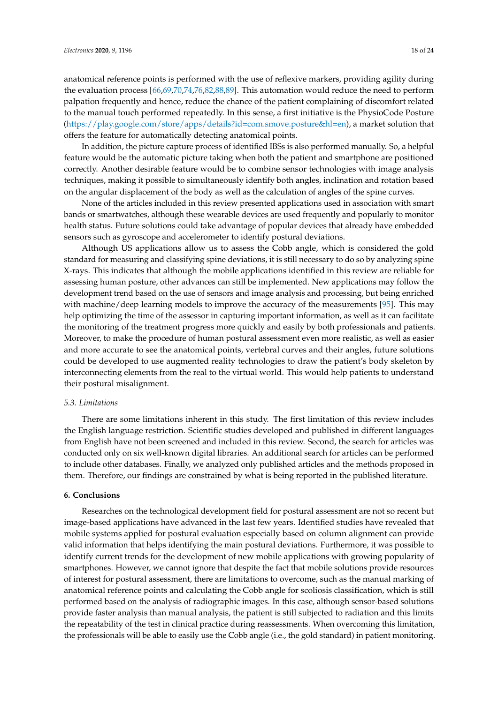anatomical reference points is performed with the use of reflexive markers, providing agility during the evaluation process [\[66](#page-22-6)[,69](#page-22-9)[,70](#page-22-10)[,74](#page-22-14)[,76](#page-22-16)[,82](#page-23-1)[,88](#page-23-7)[,89\]](#page-23-8). This automation would reduce the need to perform palpation frequently and hence, reduce the chance of the patient complaining of discomfort related to the manual touch performed repeatedly. In this sense, a first initiative is the PhysioCode Posture [\(https://play.google.com/store/apps/details?id=com.smove.posture&hl=en\)](https://play.google.com/store/apps/details?id=com.smove.posture&hl=en), a market solution that offers the feature for automatically detecting anatomical points.

In addition, the picture capture process of identified IBSs is also performed manually. So, a helpful feature would be the automatic picture taking when both the patient and smartphone are positioned correctly. Another desirable feature would be to combine sensor technologies with image analysis techniques, making it possible to simultaneously identify both angles, inclination and rotation based on the angular displacement of the body as well as the calculation of angles of the spine curves.

None of the articles included in this review presented applications used in association with smart bands or smartwatches, although these wearable devices are used frequently and popularly to monitor health status. Future solutions could take advantage of popular devices that already have embedded sensors such as gyroscope and accelerometer to identify postural deviations.

Although US applications allow us to assess the Cobb angle, which is considered the gold standard for measuring and classifying spine deviations, it is still necessary to do so by analyzing spine X-rays. This indicates that although the mobile applications identified in this review are reliable for assessing human posture, other advances can still be implemented. New applications may follow the development trend based on the use of sensors and image analysis and processing, but being enriched with machine/deep learning models to improve the accuracy of the measurements [\[95\]](#page-23-14). This may help optimizing the time of the assessor in capturing important information, as well as it can facilitate the monitoring of the treatment progress more quickly and easily by both professionals and patients. Moreover, to make the procedure of human postural assessment even more realistic, as well as easier and more accurate to see the anatomical points, vertebral curves and their angles, future solutions could be developed to use augmented reality technologies to draw the patient's body skeleton by interconnecting elements from the real to the virtual world. This would help patients to understand their postural misalignment.

# *5.3. Limitations*

There are some limitations inherent in this study. The first limitation of this review includes the English language restriction. Scientific studies developed and published in different languages from English have not been screened and included in this review. Second, the search for articles was conducted only on six well-known digital libraries. An additional search for articles can be performed to include other databases. Finally, we analyzed only published articles and the methods proposed in them. Therefore, our findings are constrained by what is being reported in the published literature.

# <span id="page-17-0"></span>**6. Conclusions**

Researches on the technological development field for postural assessment are not so recent but image-based applications have advanced in the last few years. Identified studies have revealed that mobile systems applied for postural evaluation especially based on column alignment can provide valid information that helps identifying the main postural deviations. Furthermore, it was possible to identify current trends for the development of new mobile applications with growing popularity of smartphones. However, we cannot ignore that despite the fact that mobile solutions provide resources of interest for postural assessment, there are limitations to overcome, such as the manual marking of anatomical reference points and calculating the Cobb angle for scoliosis classification, which is still performed based on the analysis of radiographic images. In this case, although sensor-based solutions provide faster analysis than manual analysis, the patient is still subjected to radiation and this limits the repeatability of the test in clinical practice during reassessments. When overcoming this limitation, the professionals will be able to easily use the Cobb angle (i.e., the gold standard) in patient monitoring.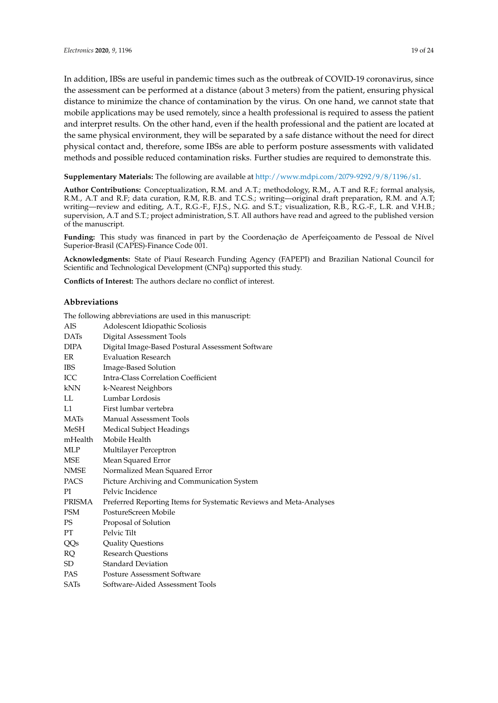In addition, IBSs are useful in pandemic times such as the outbreak of COVID-19 coronavirus, since the assessment can be performed at a distance (about 3 meters) from the patient, ensuring physical distance to minimize the chance of contamination by the virus. On one hand, we cannot state that mobile applications may be used remotely, since a health professional is required to assess the patient and interpret results. On the other hand, even if the health professional and the patient are located at the same physical environment, they will be separated by a safe distance without the need for direct physical contact and, therefore, some IBSs are able to perform posture assessments with validated methods and possible reduced contamination risks. Further studies are required to demonstrate this.

**Supplementary Materials:** The following are available at [http://www.mdpi.com/2079-9292/9/8/1196/s1.](http://www.mdpi.com/2079-9292/9/8/1196/s1)

**Author Contributions:** Conceptualization, R.M. and A.T.; methodology, R.M., A.T and R.F.; formal analysis, R.M., A.T and R.F; data curation, R.M, R.B. and T.C.S.; writing—original draft preparation, R.M. and A.T; writing—review and editing, A.T., R.G.-F., F.J.S., N.G. and S.T.; visualization, R.B., R.G.-F., L.R. and V.H.B.; supervision, A.T and S.T.; project administration, S.T. All authors have read and agreed to the published version of the manuscript.

**Funding:** This study was financed in part by the Coordenação de Aperfeiçoamento de Pessoal de Nível Superior-Brasil (CAPES)-Finance Code 001.

**Acknowledgments:** State of Piauí Research Funding Agency (FAPEPI) and Brazilian National Council for Scientific and Technological Development (CNPq) supported this study.

**Conflicts of Interest:** The authors declare no conflict of interest.

# **Abbreviations**

The following abbreviations are used in this manuscript:

| AIS             | Adolescent Idiopathic Scoliosis                                    |
|-----------------|--------------------------------------------------------------------|
| <b>DATs</b>     | Digital Assessment Tools                                           |
| <b>DIPA</b>     | Digital Image-Based Postural Assessment Software                   |
| ER              | <b>Evaluation Research</b>                                         |
| IBS.            | Image-Based Solution                                               |
| ICC             | Intra-Class Correlation Coefficient                                |
| kNN             | k-Nearest Neighbors                                                |
| LL.             | Lumbar Lordosis                                                    |
| L1              | First lumbar vertebra                                              |
| <b>MATs</b>     | Manual Assessment Tools                                            |
| <b>MeSH</b>     | <b>Medical Subject Headings</b>                                    |
| mHealth         | Mobile Health                                                      |
| <b>MLP</b>      | Multilayer Perceptron                                              |
| <b>MSE</b>      | Mean Squared Error                                                 |
| <b>NMSE</b>     | Normalized Mean Squared Error                                      |
| PACS            | Picture Archiving and Communication System                         |
| PI              | Pelvic Incidence                                                   |
| PRISMA          | Preferred Reporting Items for Systematic Reviews and Meta-Analyses |
| <b>PSM</b>      | PostureScreen Mobile                                               |
| PS              | Proposal of Solution                                               |
| PT              | Pelvic Tilt                                                        |
| QQs             | <b>Quality Questions</b>                                           |
| RQ              | <b>Research Questions</b>                                          |
| SD <sub>1</sub> | <b>Standard Deviation</b>                                          |
| <b>PAS</b>      | <b>Posture Assessment Software</b>                                 |
| SATs            | Software-Aided Assessment Tools                                    |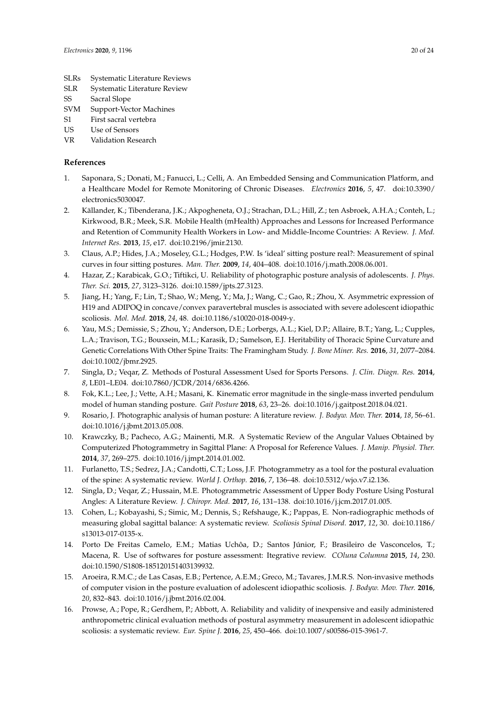- SLRs Systematic Literature Reviews
- SLR Systematic Literature Review
- SS Sacral Slope
- SVM Support-Vector Machines
- S1 First sacral vertebra
- US Use of Sensors
- VR Validation Research

# **References**

- <span id="page-19-0"></span>1. Saponara, S.; Donati, M.; Fanucci, L.; Celli, A. An Embedded Sensing and Communication Platform, and a Healthcare Model for Remote Monitoring of Chronic Diseases. *Electronics* **2016**, *5*, 47. doi:10.3390/ electronics5030047.
- <span id="page-19-1"></span>2. Källander, K.; Tibenderana, J.K.; Akpogheneta, O.J.; Strachan, D.L.; Hill, Z.; ten Asbroek, A.H.A.; Conteh, L.; Kirkwood, B.R.; Meek, S.R. Mobile Health (mHealth) Approaches and Lessons for Increased Performance and Retention of Community Health Workers in Low- and Middle-Income Countries: A Review. *J. Med. Internet Res.* **2013**, *15*, e17. doi[:10.2196/jmir.2130.](https://doi.org/10.2196/jmir.2130)
- <span id="page-19-2"></span>3. Claus, A.P.; Hides, J.A.; Moseley, G.L.; Hodges, P.W. Is 'ideal' sitting posture real?: Measurement of spinal curves in four sitting postures. *Man. Ther.* **2009**, *14*, 404–408. doi[:10.1016/j.math.2008.06.001.](https://doi.org/10.1016/j.math.2008.06.001)
- <span id="page-19-3"></span>4. Hazar, Z.; Karabicak, G.O.; Tiftikci, U. Reliability of photographic posture analysis of adolescents. *J. Phys. Ther. Sci.* **2015**, *27*, 3123–3126. doi[:10.1589/jpts.27.3123.](https://doi.org/10.1589/jpts.27.3123)
- <span id="page-19-4"></span>5. Jiang, H.; Yang, F.; Lin, T.; Shao, W.; Meng, Y.; Ma, J.; Wang, C.; Gao, R.; Zhou, X. Asymmetric expression of H19 and ADIPOQ in concave/convex paravertebral muscles is associated with severe adolescent idiopathic scoliosis. *Mol. Med.* **2018**, *24*, 48. doi[:10.1186/s10020-018-0049-y.](https://doi.org/10.1186/s10020-018-0049-y)
- <span id="page-19-5"></span>6. Yau, M.S.; Demissie, S.; Zhou, Y.; Anderson, D.E.; Lorbergs, A.L.; Kiel, D.P.; Allaire, B.T.; Yang, L.; Cupples, L.A.; Travison, T.G.; Bouxsein, M.L.; Karasik, D.; Samelson, E.J. Heritability of Thoracic Spine Curvature and Genetic Correlations With Other Spine Traits: The Framingham Study. *J. Bone Miner. Res.* **2016**, *31*, 2077–2084. doi[:10.1002/jbmr.2925.](https://doi.org/10.1002/jbmr.2925)
- <span id="page-19-6"></span>7. Singla, D.; Veqar, Z. Methods of Postural Assessment Used for Sports Persons. *J. Clin. Diagn. Res.* **2014**, *8*, LE01–LE04. doi[:10.7860/JCDR/2014/6836.4266.](https://doi.org/10.7860/JCDR/2014/6836.4266)
- <span id="page-19-7"></span>8. Fok, K.L.; Lee, J.; Vette, A.H.; Masani, K. Kinematic error magnitude in the single-mass inverted pendulum model of human standing posture. *Gait Posture* **2018**, *63*, 23–26. doi[:10.1016/j.gaitpost.2018.04.021.](https://doi.org/10.1016/j.gaitpost.2018.04.021)
- <span id="page-19-8"></span>9. Rosario, J. Photographic analysis of human posture: A literature review. *J. Bodyw. Mov. Ther.* **2014**, *18*, 56–61. doi[:10.1016/j.jbmt.2013.05.008.](https://doi.org/10.1016/j.jbmt.2013.05.008)
- <span id="page-19-9"></span>10. Krawczky, B.; Pacheco, A.G.; Mainenti, M.R. A Systematic Review of the Angular Values Obtained by Computerized Photogrammetry in Sagittal Plane: A Proposal for Reference Values. *J. Manip. Physiol. Ther.* **2014**, *37*, 269–275. doi[:10.1016/j.jmpt.2014.01.002.](https://doi.org/10.1016/j.jmpt.2014.01.002)
- <span id="page-19-15"></span>11. Furlanetto, T.S.; Sedrez, J.A.; Candotti, C.T.; Loss, J.F. Photogrammetry as a tool for the postural evaluation of the spine: A systematic review. *World J. Orthop.* **2016**, *7*, 136–48. doi[:10.5312/wjo.v7.i2.136.](https://doi.org/10.5312/wjo.v7.i2.136)
- <span id="page-19-10"></span>12. Singla, D.; Veqar, Z.; Hussain, M.E. Photogrammetric Assessment of Upper Body Posture Using Postural Angles: A Literature Review. *J. Chiropr. Med.* **2017**, *16*, 131–138. doi[:10.1016/j.jcm.2017.01.005.](https://doi.org/10.1016/j.jcm.2017.01.005)
- <span id="page-19-11"></span>13. Cohen, L.; Kobayashi, S.; Simic, M.; Dennis, S.; Refshauge, K.; Pappas, E. Non-radiographic methods of measuring global sagittal balance: A systematic review. *Scoliosis Spinal Disord.* **2017**, *12*, 30. doi:10.1186/ s13013-017-0135-x.
- <span id="page-19-12"></span>14. Porto De Freitas Camelo, E.M.; Matias Uchôa, D.; Santos Júnior, F.; Brasileiro de Vasconcelos, T.; Macena, R. Use of softwares for posture assessment: Itegrative review. *COluna Columna* **2015**, *14*, 230. doi[:10.1590/S1808-185120151403139932.](https://doi.org/10.1590/S1808-185120151403139932)
- <span id="page-19-13"></span>15. Aroeira, R.M.C.; de Las Casas, E.B.; Pertence, A.E.M.; Greco, M.; Tavares, J.M.R.S. Non-invasive methods of computer vision in the posture evaluation of adolescent idiopathic scoliosis. *J. Bodyw. Mov. Ther.* **2016**, *20*, 832–843. doi[:10.1016/j.jbmt.2016.02.004.](https://doi.org/10.1016/j.jbmt.2016.02.004)
- <span id="page-19-14"></span>16. Prowse, A.; Pope, R.; Gerdhem, P.; Abbott, A. Reliability and validity of inexpensive and easily administered anthropometric clinical evaluation methods of postural asymmetry measurement in adolescent idiopathic scoliosis: a systematic review. *Eur. Spine J.* **2016**, *25*, 450–466. doi[:10.1007/s00586-015-3961-7.](https://doi.org/10.1007/s00586-015-3961-7)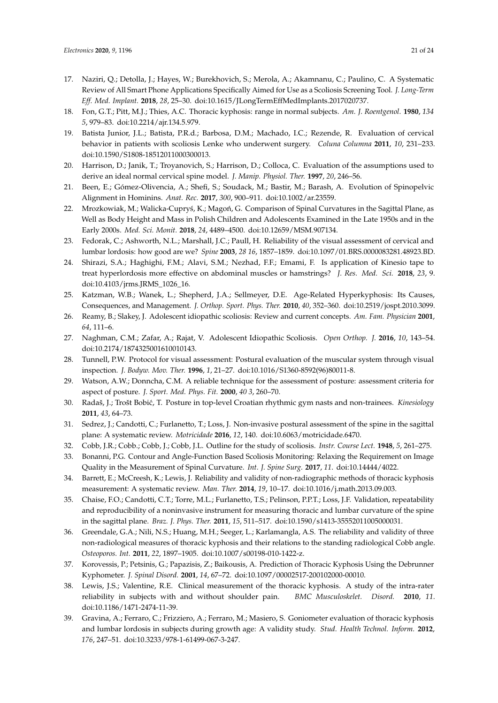- <span id="page-20-0"></span>17. Naziri, Q.; Detolla, J.; Hayes, W.; Burekhovich, S.; Merola, A.; Akamnanu, C.; Paulino, C. A Systematic Review of All Smart Phone Applications Specifically Aimed for Use as a Scoliosis Screening Tool. *J. Long-Term Eff. Med. Implant.* **2018**, *28*, 25–30. doi[:10.1615/JLongTermEffMedImplants.2017020737.](https://doi.org/10.1615/JLongTermEffMedImplants.2017020737)
- <span id="page-20-1"></span>18. Fon, G.T.; Pitt, M.J.; Thies, A.C. Thoracic kyphosis: range in normal subjects. *Am. J. Roentgenol.* **1980**, *134 5*, 979–83. doi[:10.2214/ajr.134.5.979.](https://doi.org/10.2214/ajr.134.5.979)
- <span id="page-20-2"></span>19. Batista Junior, J.L.; Batista, P.R.d.; Barbosa, D.M.; Machado, I.C.; Rezende, R. Evaluation of cervical behavior in patients with scoliosis Lenke who underwent surgery. *Coluna Columna* **2011**, *10*, 231–233. doi[:10.1590/S1808-18512011000300013.](https://doi.org/10.1590/S1808-18512011000300013)
- <span id="page-20-3"></span>20. Harrison, D.; Janik, T.; Troyanovich, S.; Harrison, D.; Colloca, C. Evaluation of the assumptions used to derive an ideal normal cervical spine model. *J. Manip. Physiol. Ther.* **1997**, *20*, 246–56.
- <span id="page-20-4"></span>21. Been, E.; Gómez-Olivencia, A.; Shefi, S.; Soudack, M.; Bastir, M.; Barash, A. Evolution of Spinopelvic Alignment in Hominins. *Anat. Rec.* **2017**, *300*, 900–911. doi[:10.1002/ar.23559.](https://doi.org/10.1002/ar.23559.)
- <span id="page-20-5"></span>22. Mrozkowiak, M.; Walicka-Cupryś, K.; Magoń, G. Comparison of Spinal Curvatures in the Sagittal Plane, as Well as Body Height and Mass in Polish Children and Adolescents Examined in the Late 1950s and in the Early 2000s. *Med. Sci. Monit.* **2018**, *24*, 4489–4500. doi[:10.12659/MSM.907134.](https://doi.org/10.12659/MSM.907134)
- <span id="page-20-6"></span>23. Fedorak, C.; Ashworth, N.L.; Marshall, J.C.; Paull, H. Reliability of the visual assessment of cervical and lumbar lordosis: how good are we? *Spine* **2003**, *28 16*, 1857–1859. doi[:10.1097/01.BRS.0000083281.48923.BD.](https://doi.org/10.1097/01.BRS.0000083281.48923.BD)
- <span id="page-20-7"></span>24. Shirazi, S.A.; Haghighi, F.M.; Alavi, S.M.; Nezhad, F.F.; Emami, F. Is application of Kinesio tape to treat hyperlordosis more effective on abdominal muscles or hamstrings? *J. Res. Med. Sci.* **2018**, *23*, 9. doi[:10.4103/jrms.JRMS\\_1026\\_16.](https://doi.org/10.4103/jrms.JRMS_1026_16)
- <span id="page-20-8"></span>25. Katzman, W.B.; Wanek, L.; Shepherd, J.A.; Sellmeyer, D.E. Age-Related Hyperkyphosis: Its Causes, Consequences, and Management. *J. Orthop. Sport. Phys. Ther.* **2010**, *40*, 352–360. doi[:10.2519/jospt.2010.3099.](https://doi.org/10.2519/jospt.2010.3099.)
- <span id="page-20-9"></span>26. Reamy, B.; Slakey, J. Adolescent idiopathic scoliosis: Review and current concepts. *Am. Fam. Physician* **2001**, *64*, 111–6.
- <span id="page-20-10"></span>27. Naghman, C.M.; Zafar, A.; Rajat, V. Adolescent Idiopathic Scoliosis. *Open Orthop. J.* **2016**, *10*, 143–54. doi[:10.2174/1874325001610010143.](https://doi.org/10.2174/1874325001610010143)
- <span id="page-20-11"></span>28. Tunnell, P.W. Protocol for visual assessment: Postural evaluation of the muscular system through visual inspection. *J. Bodyw. Mov. Ther.* **1996**, *1*, 21–27. doi[:10.1016/S1360-8592\(96\)80011-8.](https://doi.org/10.1016/S1360-8592(96)80011-8)
- <span id="page-20-12"></span>29. Watson, A.W.; Donncha, C.M. A reliable technique for the assessment of posture: assessment criteria for aspect of posture. *J. Sport. Med. Phys. Fit.* **2000**, *40 3*, 260–70.
- <span id="page-20-13"></span>30. Radaš, J.; Trošt Bobi´c, T. Posture in top-level Croatian rhythmic gym nasts and non-trainees. *Kinesiology* **2011**, *43*, 64–73.
- <span id="page-20-14"></span>31. Sedrez, J.; Candotti, C.; Furlanetto, T.; Loss, J. Non-invasive postural assessment of the spine in the sagittal plane: A systematic review. *Motricidade* **2016**, *12*, 140. doi[:10.6063/motricidade.6470.](https://doi.org/10.6063/motricidade.6470)
- <span id="page-20-15"></span>32. Cobb, J.R.; Cobb.; Cobb, J.; Cobb, J.L. Outline for the study of scoliosis. *Instr. Course Lect.* **1948**, *5*, 261–275.
- <span id="page-20-16"></span>33. Bonanni, P.G. Contour and Angle-Function Based Scoliosis Monitoring: Relaxing the Requirement on Image Quality in the Measurement of Spinal Curvature. *Int. J. Spine Surg.* **2017**, *11*. doi[:10.14444/4022.](https://doi.org/10.14444/4022)
- <span id="page-20-17"></span>34. Barrett, E.; McCreesh, K.; Lewis, J. Reliability and validity of non-radiographic methods of thoracic kyphosis measurement: A systematic review. *Man. Ther.* **2014**, *19*, 10–17. doi[:10.1016/j.math.2013.09.003.](https://doi.org/10.1016/j.math.2013.09.003)
- <span id="page-20-18"></span>35. Chaise, F.O.; Candotti, C.T.; Torre, M.L.; Furlanetto, T.S.; Pelinson, P.P.T.; Loss, J.F. Validation, repeatability and reproducibility of a noninvasive instrument for measuring thoracic and lumbar curvature of the spine in the sagittal plane. *Braz. J. Phys. Ther.* **2011**, *15*, 511–517. doi[:10.1590/s1413-35552011005000031.](https://doi.org/10.1590/s1413-35552011005000031)
- <span id="page-20-19"></span>36. Greendale, G.A.; Nili, N.S.; Huang, M.H.; Seeger, L.; Karlamangla, A.S. The reliability and validity of three non-radiological measures of thoracic kyphosis and their relations to the standing radiological Cobb angle. *Osteoporos. Int.* **2011**, *22*, 1897–1905. doi[:10.1007/s00198-010-1422-z.](https://doi.org/10.1007/s00198-010-1422-z)
- <span id="page-20-20"></span>37. Korovessis, P.; Petsinis, G.; Papazisis, Z.; Baikousis, A. Prediction of Thoracic Kyphosis Using the Debrunner Kyphometer. *J. Spinal Disord.* **2001**, *14*, 67–72. doi[:10.1097/00002517-200102000-00010.](https://doi.org/10.1097/00002517-200102000-00010)
- <span id="page-20-21"></span>38. Lewis, J.S.; Valentine, R.E. Clinical measurement of the thoracic kyphosis. A study of the intra-rater reliability in subjects with and without shoulder pain. *BMC Musculoskelet. Disord.* **2010**, *11*. doi:10.1186/1471-2474-11-39.
- <span id="page-20-22"></span>39. Gravina, A.; Ferraro, C.; Frizziero, A.; Ferraro, M.; Masiero, S. Goniometer evaluation of thoracic kyphosis and lumbar lordosis in subjects during growth age: A validity study. *Stud. Health Technol. Inform.* **2012**, *176*, 247–51. doi[:10.3233/978-1-61499-067-3-247.](https://doi.org/10.3233/978-1-61499-067-3-247)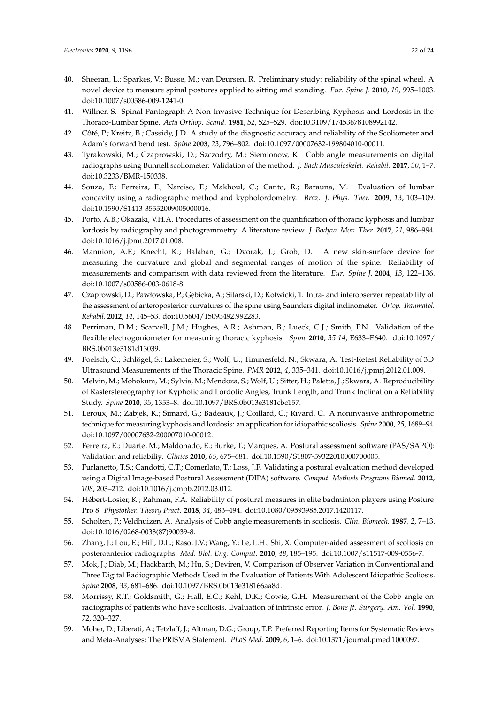- <span id="page-21-0"></span>40. Sheeran, L.; Sparkes, V.; Busse, M.; van Deursen, R. Preliminary study: reliability of the spinal wheel. A novel device to measure spinal postures applied to sitting and standing. *Eur. Spine J.* **2010**, *19*, 995–1003. doi[:10.1007/s00586-009-1241-0.](https://doi.org/10.1007/s00586-009-1241-0)
- <span id="page-21-1"></span>41. Willner, S. Spinal Pantograph-A Non-Invasive Technique for Describing Kyphosis and Lordosis in the Thoraco-Lumbar Spine. *Acta Orthop. Scand.* **1981**, *52*, 525–529. doi[:10.3109/17453678108992142.](https://doi.org/10.3109/17453678108992142)
- <span id="page-21-2"></span>42. Côté, P.; Kreitz, B.; Cassidy, J.D. A study of the diagnostic accuracy and reliability of the Scoliometer and Adam's forward bend test. *Spine* **2003**, *23*, 796–802. doi[:10.1097/00007632-199804010-00011.](https://doi.org/10.1097/00007632-199804010-00011)
- <span id="page-21-3"></span>43. Tyrakowski, M.; Czaprowski, D.; Szczodry, M.; Siemionow, K. Cobb angle measurements on digital radiographs using Bunnell scoliometer: Validation of the method. *J. Back Musculoskelet. Rehabil.* **2017**, *30*, 1–7. doi[:10.3233/BMR-150338.](https://doi.org/10.3233/BMR-150338)
- <span id="page-21-4"></span>44. Souza, F.; Ferreira, F.; Narciso, F.; Makhoul, C.; Canto, R.; Barauna, M. Evaluation of lumbar concavity using a radiographic method and kypholordometry. *Braz. J. Phys. Ther.* **2009**, *13*, 103–109. doi[:10.1590/S1413-35552009005000016.](https://doi.org/10.1590/S1413-35552009005000016)
- <span id="page-21-5"></span>45. Porto, A.B.; Okazaki, V.H.A. Procedures of assessment on the quantification of thoracic kyphosis and lumbar lordosis by radiography and photogrammetry: A literature review. *J. Bodyw. Mov. Ther.* **2017**, *21*, 986–994. doi[:10.1016/j.jbmt.2017.01.008.](https://doi.org/10.1016/j.jbmt.2017.01.008)
- <span id="page-21-6"></span>46. Mannion, A.F.; Knecht, K.; Balaban, G.; Dvorak, J.; Grob, D. A new skin-surface device for measuring the curvature and global and segmental ranges of motion of the spine: Reliability of measurements and comparison with data reviewed from the literature. *Eur. Spine J.* **2004**, *13*, 122–136. doi[:10.1007/s00586-003-0618-8.](https://doi.org/10.1007/s00586-003-0618-8)
- <span id="page-21-7"></span>47. Czaprowski, D.; Pawłowska, P.; G˛ebicka, A.; Sitarski, D.; Kotwicki, T. Intra- and interobserver repeatability of the assessment of anteroposterior curvatures of the spine using Saunders digital inclinometer. *Ortop. Traumatol. Rehabil.* **2012**, *14*, 145–53. doi[:10.5604/15093492.992283.](https://doi.org/10.5604/15093492.992283)
- <span id="page-21-8"></span>48. Perriman, D.M.; Scarvell, J.M.; Hughes, A.R.; Ashman, B.; Lueck, C.J.; Smith, P.N. Validation of the flexible electrogoniometer for measuring thoracic kyphosis. *Spine* **2010**, *35 14*, E633–E640. doi:10.1097/ BRS.0b013e3181d13039.
- <span id="page-21-9"></span>49. Foelsch, C.; Schlögel, S.; Lakemeier, S.; Wolf, U.; Timmesfeld, N.; Skwara, A. Test-Retest Reliability of 3D Ultrasound Measurements of the Thoracic Spine. *PMR* **2012**, *4*, 335–341. doi[:10.1016/j.pmrj.2012.01.009.](https://doi.org/10.1016/j.pmrj.2012.01.009)
- <span id="page-21-10"></span>50. Melvin, M.; Mohokum, M.; Sylvia, M.; Mendoza, S.; Wolf, U.; Sitter, H.; Paletta, J.; Skwara, A. Reproducibility of Rasterstereography for Kyphotic and Lordotic Angles, Trunk Length, and Trunk Inclination a Reliability Study. *Spine* **2010**, *35*, 1353–8. doi[:10.1097/BRS.0b013e3181cbc157.](https://doi.org/10.1097/BRS.0b013e3181cbc157)
- <span id="page-21-11"></span>51. Leroux, M.; Zabjek, K.; Simard, G.; Badeaux, J.; Coillard, C.; Rivard, C. A noninvasive anthropometric technique for measuring kyphosis and lordosis: an application for idiopathic scoliosis. *Spine* **2000**, *25*, 1689–94. doi[:10.1097/00007632-200007010-00012.](https://doi.org/10.1097/00007632-200007010-00012)
- <span id="page-21-12"></span>52. Ferreira, E.; Duarte, M.; Maldonado, E.; Burke, T.; Marques, A. Postural assessment software (PAS/SAPO): Validation and reliabiliy. *Clinics* **2010**, *65*, 675–681. doi[:10.1590/S1807-59322010000700005.](https://doi.org/10.1590/S1807-59322010000700005)
- <span id="page-21-14"></span>53. Furlanetto, T.S.; Candotti, C.T.; Comerlato, T.; Loss, J.F. Validating a postural evaluation method developed using a Digital Image-based Postural Assessment (DIPA) software. *Comput. Methods Programs Biomed.* **2012**, *108*, 203–212. doi[:10.1016/j.cmpb.2012.03.012.](https://doi.org/10.1016/j.cmpb.2012.03.012)
- <span id="page-21-13"></span>54. Hébert-Losier, K.; Rahman, F.A. Reliability of postural measures in elite badminton players using Posture Pro 8. *Physiother. Theory Pract.* **2018**, *34*, 483–494. doi[:10.1080/09593985.2017.1420117.](https://doi.org/10.1080/09593985.2017.1420117)
- <span id="page-21-15"></span>55. Scholten, P.; Veldhuizen, A. Analysis of Cobb angle measurements in scoliosis. *Clin. Biomech.* **1987**, *2*, 7–13. doi[:10.1016/0268-0033\(87\)90039-8.](https://doi.org/10.1016/0268-0033(87)90039-8)
- <span id="page-21-16"></span>56. Zhang, J.; Lou, E.; Hill, D.L.; Raso, J.V.; Wang, Y.; Le, L.H.; Shi, X. Computer-aided assessment of scoliosis on posteroanterior radiographs. *Med. Biol. Eng. Comput.* **2010**, *48*, 185–195. doi[:10.1007/s11517-009-0556-7.](https://doi.org/10.1007/s11517-009-0556-7)
- <span id="page-21-17"></span>57. Mok, J.; Diab, M.; Hackbarth, M.; Hu, S.; Deviren, V. Comparison of Observer Variation in Conventional and Three Digital Radiographic Methods Used in the Evaluation of Patients With Adolescent Idiopathic Scoliosis. *Spine* **2008**, *33*, 681–686. doi[:10.1097/BRS.0b013e318166aa8d.](https://doi.org/10.1097/BRS.0b013e318166aa8d)
- <span id="page-21-18"></span>58. Morrissy, R.T.; Goldsmith, G.; Hall, E.C.; Kehl, D.K.; Cowie, G.H. Measurement of the Cobb angle on radiographs of patients who have scoliosis. Evaluation of intrinsic error. *J. Bone Jt. Surgery. Am. Vol.* **1990**, *72*, 320–327.
- <span id="page-21-19"></span>59. Moher, D.; Liberati, A.; Tetzlaff, J.; Altman, D.G.; Group, T.P. Preferred Reporting Items for Systematic Reviews and Meta-Analyses: The PRISMA Statement. *PLoS Med.* **2009**, *6*, 1–6. doi:10.1371/journal.pmed.1000097.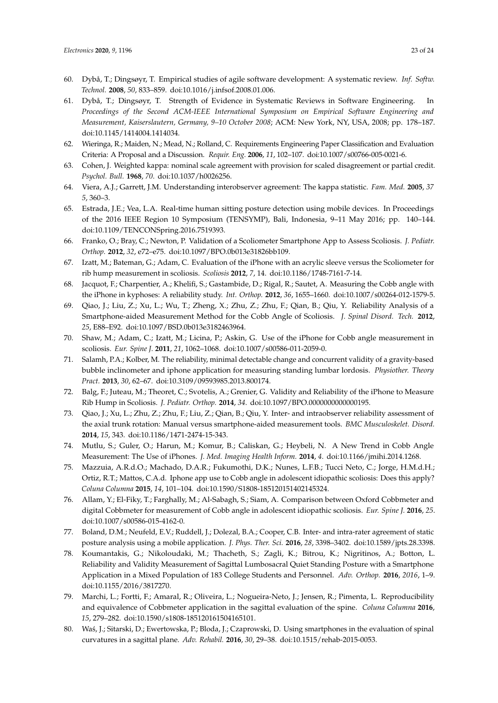- <span id="page-22-0"></span>60. Dybå, T.; Dingsøyr, T. Empirical studies of agile software development: A systematic review. *Inf. Softw. Technol.* **2008**, *50*, 833–859. doi[:10.1016/j.infsof.2008.01.006.](https://doi.org/10.1016/j.infsof.2008.01.006)
- <span id="page-22-1"></span>61. Dybå, T.; Dingsøyr, T. Strength of Evidence in Systematic Reviews in Software Engineering. In *Proceedings of the Second ACM-IEEE International Symposium on Empirical Software Engineering and Measurement, Kaiserslautern, Germany, 9–10 October 2008*; ACM: New York, NY, USA, 2008; pp. 178–187. doi[:10.1145/1414004.1414034.](https://doi.org/10.1145/1414004.1414034)
- <span id="page-22-2"></span>62. Wieringa, R.; Maiden, N.; Mead, N.; Rolland, C. Requirements Engineering Paper Classification and Evaluation Criteria: A Proposal and a Discussion. *Requir. Eng.* **2006**, *11*, 102–107. doi:10.1007/s00766-005-0021-6.
- <span id="page-22-3"></span>63. Cohen, J. Weighted kappa: nominal scale agreement with provision for scaled disagreement or partial credit. *Psychol. Bull.* **1968**, *70*. doi[:10.1037/h0026256.](https://doi.org/10.1037/h0026256)
- <span id="page-22-4"></span>64. Viera, A.J.; Garrett, J.M. Understanding interobserver agreement: The kappa statistic. *Fam. Med.* **2005**, *37 5*, 360–3.
- <span id="page-22-5"></span>65. Estrada, J.E.; Vea, L.A. Real-time human sitting posture detection using mobile devices. In Proceedings of the 2016 IEEE Region 10 Symposium (TENSYMP), Bali, Indonesia, 9–11 May 2016; pp. 140–144. doi[:10.1109/TENCONSpring.2016.7519393.](https://doi.org/10.1109/TENCONSpring.2016.7519393)
- <span id="page-22-6"></span>66. Franko, O.; Bray, C.; Newton, P. Validation of a Scoliometer Smartphone App to Assess Scoliosis. *J. Pediatr. Orthop.* **2012**, *32*, e72–e75. doi[:10.1097/BPO.0b013e31826bb109.](https://doi.org/10.1097/BPO.0b013e31826bb109)
- <span id="page-22-7"></span>67. Izatt, M.; Bateman, G.; Adam, C. Evaluation of the iPhone with an acrylic sleeve versus the Scoliometer for rib hump measurement in scoliosis. *Scoliosis* **2012**, *7*, 14. doi[:10.1186/1748-7161-7-14.](https://doi.org/10.1186/1748-7161-7-14)
- <span id="page-22-8"></span>68. Jacquot, F.; Charpentier, A.; Khelifi, S.; Gastambide, D.; Rigal, R.; Sautet, A. Measuring the Cobb angle with the iPhone in kyphoses: A reliability study. *Int. Orthop.* **2012**, *36*, 1655–1660. doi[:10.1007/s00264-012-1579-5.](https://doi.org/10.1007/s00264-012-1579-5)
- <span id="page-22-9"></span>69. Qiao, J.; Liu, Z.; Xu, L.; Wu, T.; Zheng, X.; Zhu, Z.; Zhu, F.; Qian, B.; Qiu, Y. Reliability Analysis of a Smartphone-aided Measurement Method for the Cobb Angle of Scoliosis. *J. Spinal Disord. Tech.* **2012**, *25*, E88–E92. doi[:10.1097/BSD.0b013e3182463964.](https://doi.org/10.1097/BSD.0b013e3182463964)
- <span id="page-22-10"></span>70. Shaw, M.; Adam, C.; Izatt, M.; Licina, P.; Askin, G. Use of the iPhone for Cobb angle measurement in scoliosis. *Eur. Spine J.* **2011**, *21*, 1062–1068. doi[:10.1007/s00586-011-2059-0.](https://doi.org/10.1007/s00586-011-2059-0)
- <span id="page-22-11"></span>71. Salamh, P.A.; Kolber, M. The reliability, minimal detectable change and concurrent validity of a gravity-based bubble inclinometer and iphone application for measuring standing lumbar lordosis. *Physiother. Theory Pract.* **2013**, *30*, 62–67. doi[:10.3109/09593985.2013.800174.](https://doi.org/10.3109/09593985.2013.800174)
- <span id="page-22-12"></span>72. Balg, F.; Juteau, M.; Theoret, C.; Svotelis, A.; Grenier, G. Validity and Reliability of the iPhone to Measure Rib Hump in Scoliosis. *J. Pediatr. Orthop.* **2014**, *34*. doi[:10.1097/BPO.0000000000000195.](https://doi.org/10.1097/BPO.0000000000000195)
- <span id="page-22-13"></span>73. Qiao, J.; Xu, L.; Zhu, Z.; Zhu, F.; Liu, Z.; Qian, B.; Qiu, Y. Inter- and intraobserver reliability assessment of the axial trunk rotation: Manual versus smartphone-aided measurement tools. *BMC Musculoskelet. Disord.* **2014**, *15*, 343. doi[:10.1186/1471-2474-15-343.](https://doi.org/10.1186/1471-2474-15-343)
- <span id="page-22-14"></span>74. Mutlu, S.; Guler, O.; Harun, M.; Komur, B.; Caliskan, G.; Heybeli, N. A New Trend in Cobb Angle Measurement: The Use of iPhones. *J. Med. Imaging Health Inform.* **2014**, *4*. doi[:10.1166/jmihi.2014.1268.](https://doi.org/10.1166/jmihi.2014.1268)
- <span id="page-22-15"></span>75. Mazzuia, A.R.d.O.; Machado, D.A.R.; Fukumothi, D.K.; Nunes, L.F.B.; Tucci Neto, C.; Jorge, H.M.d.H.; Ortiz, R.T.; Mattos, C.A.d. Iphone app use to Cobb angle in adolescent idiopathic scoliosis: Does this apply? *Coluna Columna* **2015**, *14*, 101–104. doi[:10.1590/S1808-185120151402145324.](https://doi.org/10.1590/S1808-185120151402145324)
- <span id="page-22-16"></span>76. Allam, Y.; El-Fiky, T.; Farghally, M.; Al-Sabagh, S.; Siam, A. Comparison between Oxford Cobbmeter and digital Cobbmeter for measurement of Cobb angle in adolescent idiopathic scoliosis. *Eur. Spine J.* **2016**, *25*. doi[:10.1007/s00586-015-4162-0.](https://doi.org/10.1007/s00586-015-4162-0)
- <span id="page-22-17"></span>77. Boland, D.M.; Neufeld, E.V.; Ruddell, J.; Dolezal, B.A.; Cooper, C.B. Inter- and intra-rater agreement of static posture analysis using a mobile application. *J. Phys. Ther. Sci.* **2016**, *28*, 3398–3402. doi[:10.1589/jpts.28.3398.](https://doi.org/10.1589/jpts.28.3398)
- <span id="page-22-18"></span>78. Koumantakis, G.; Nikoloudaki, M.; Thacheth, S.; Zagli, K.; Bitrou, K.; Nigritinos, A.; Botton, L. Reliability and Validity Measurement of Sagittal Lumbosacral Quiet Standing Posture with a Smartphone Application in a Mixed Population of 183 College Students and Personnel. *Adv. Orthop.* **2016**, *2016*, 1–9. doi[:10.1155/2016/3817270.](https://doi.org/10.1155/2016/3817270)
- <span id="page-22-19"></span>79. Marchi, L.; Fortti, F.; Amaral, R.; Oliveira, L.; Nogueira-Neto, J.; Jensen, R.; Pimenta, L. Reproducibility and equivalence of Cobbmeter application in the sagittal evaluation of the spine. *Coluna Columna* **2016**, *15*, 279–282. doi[:10.1590/s1808-185120161504165101.](https://doi.org/10.1590/s1808-185120161504165101)
- <span id="page-22-20"></span>80. Waś, J.; Sitarski, D.; Ewertowska, P.; Bloda, J.; Czaprowski, D. Using smartphones in the evaluation of spinal curvatures in a sagittal plane. *Adv. Rehabil.* **2016**, *30*, 29–38. doi[:10.1515/rehab-2015-0053.](https://doi.org/10.1515/rehab-2015-0053)